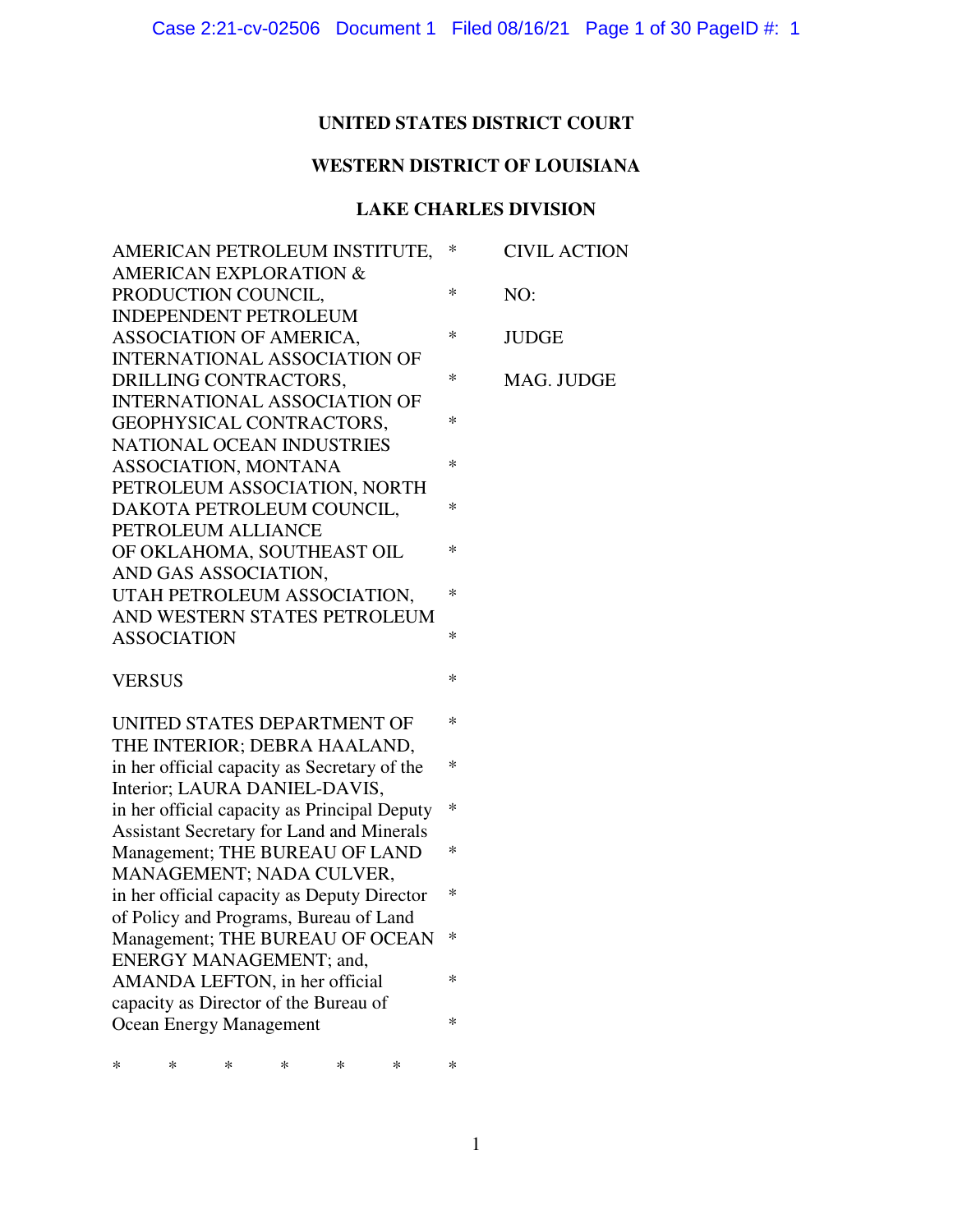# **UNITED STATES DISTRICT COURT**

# **WESTERN DISTRICT OF LOUISIANA**

## **LAKE CHARLES DIVISION**

| AMERICAN PETROLEUM INSTITUTE,                    | ∗      | <b>CIVIL ACTION</b> |  |  |  |  |
|--------------------------------------------------|--------|---------------------|--|--|--|--|
| <b>AMERICAN EXPLORATION &amp;</b>                |        |                     |  |  |  |  |
| PRODUCTION COUNCIL,                              | $\ast$ | NO:                 |  |  |  |  |
| <b>INDEPENDENT PETROLEUM</b>                     |        |                     |  |  |  |  |
| ASSOCIATION OF AMERICA,                          | ∗      | <b>JUDGE</b>        |  |  |  |  |
| <b>INTERNATIONAL ASSOCIATION OF</b>              |        |                     |  |  |  |  |
| DRILLING CONTRACTORS,                            | ∗      | MAG. JUDGE          |  |  |  |  |
| <b>INTERNATIONAL ASSOCIATION OF</b>              |        |                     |  |  |  |  |
| GEOPHYSICAL CONTRACTORS,                         | ∗      |                     |  |  |  |  |
| <b>NATIONAL OCEAN INDUSTRIES</b>                 |        |                     |  |  |  |  |
| ASSOCIATION, MONTANA                             | ∗      |                     |  |  |  |  |
| PETROLEUM ASSOCIATION, NORTH                     |        |                     |  |  |  |  |
| DAKOTA PETROLEUM COUNCIL,                        | *      |                     |  |  |  |  |
| PETROLEUM ALLIANCE                               |        |                     |  |  |  |  |
| OF OKLAHOMA, SOUTHEAST OIL                       | ∗      |                     |  |  |  |  |
| AND GAS ASSOCIATION,                             |        |                     |  |  |  |  |
| UTAH PETROLEUM ASSOCIATION,                      | ∗      |                     |  |  |  |  |
| AND WESTERN STATES PETROLEUM                     |        |                     |  |  |  |  |
| <b>ASSOCIATION</b>                               | ∗      |                     |  |  |  |  |
|                                                  |        |                     |  |  |  |  |
| <b>VERSUS</b>                                    | ∗      |                     |  |  |  |  |
|                                                  |        |                     |  |  |  |  |
| UNITED STATES DEPARTMENT OF                      | ∗      |                     |  |  |  |  |
| THE INTERIOR; DEBRA HAALAND,                     |        |                     |  |  |  |  |
| in her official capacity as Secretary of the     | *      |                     |  |  |  |  |
| Interior; LAURA DANIEL-DAVIS,                    |        |                     |  |  |  |  |
| in her official capacity as Principal Deputy     | ∗      |                     |  |  |  |  |
| <b>Assistant Secretary for Land and Minerals</b> |        |                     |  |  |  |  |
| Management; THE BUREAU OF LAND                   | ∗      |                     |  |  |  |  |
| MANAGEMENT; NADA CULVER,                         |        |                     |  |  |  |  |
| in her official capacity as Deputy Director      | *      |                     |  |  |  |  |
| of Policy and Programs, Bureau of Land           |        |                     |  |  |  |  |
| Management; THE BUREAU OF OCEAN                  | ∗      |                     |  |  |  |  |
| ENERGY MANAGEMENT; and,                          |        |                     |  |  |  |  |
| AMANDA LEFTON, in her official                   | ∗      |                     |  |  |  |  |
| capacity as Director of the Bureau of            |        |                     |  |  |  |  |
| Ocean Energy Management                          | $\ast$ |                     |  |  |  |  |
|                                                  |        |                     |  |  |  |  |
|                                                  |        |                     |  |  |  |  |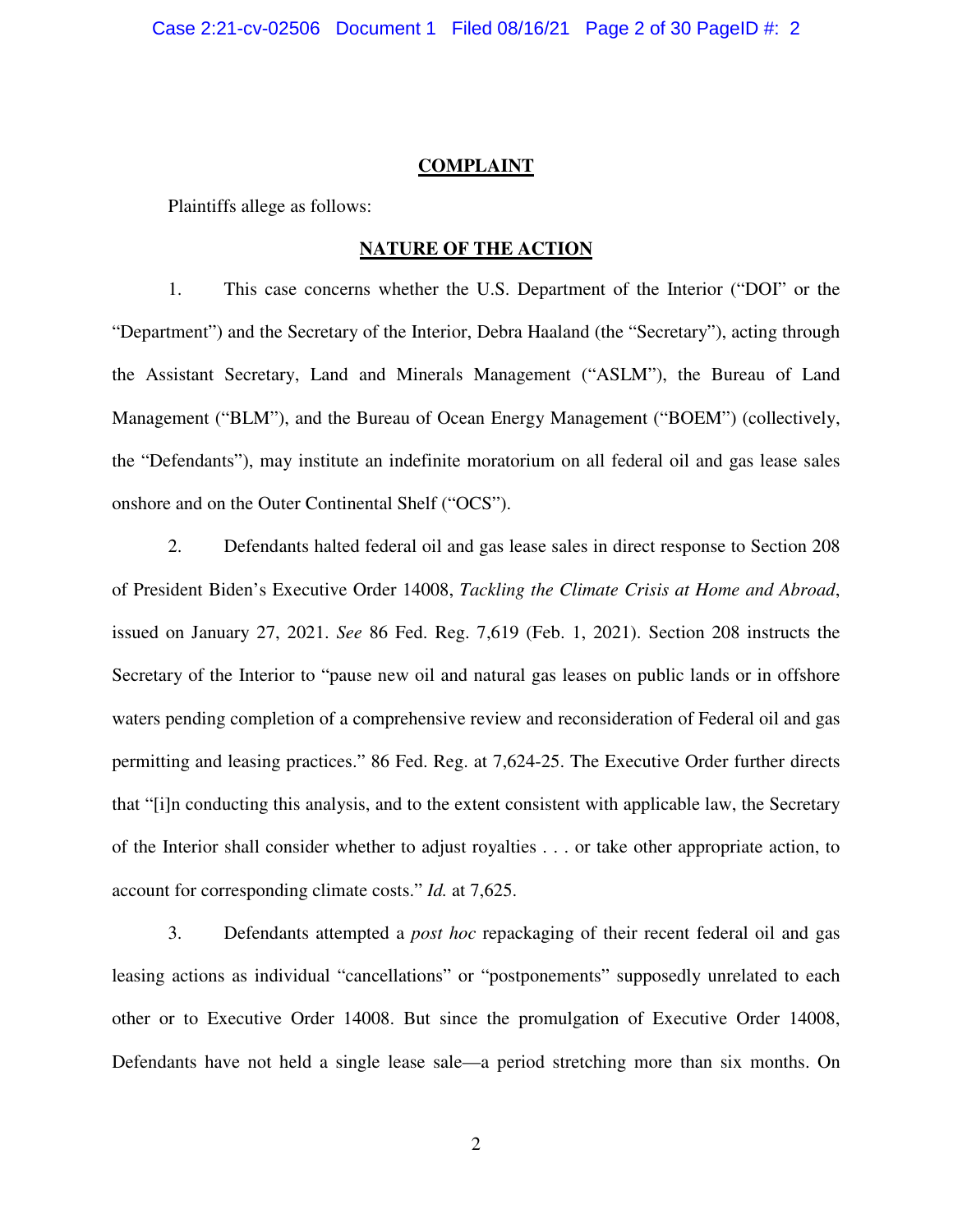### **COMPLAINT**

Plaintiffs allege as follows:

### **NATURE OF THE ACTION**

1. This case concerns whether the U.S. Department of the Interior ("DOI" or the "Department") and the Secretary of the Interior, Debra Haaland (the "Secretary"), acting through the Assistant Secretary, Land and Minerals Management ("ASLM"), the Bureau of Land Management ("BLM"), and the Bureau of Ocean Energy Management ("BOEM") (collectively, the "Defendants"), may institute an indefinite moratorium on all federal oil and gas lease sales onshore and on the Outer Continental Shelf ("OCS").

2. Defendants halted federal oil and gas lease sales in direct response to Section 208 of President Biden's Executive Order 14008, *Tackling the Climate Crisis at Home and Abroad*, issued on January 27, 2021. *See* 86 Fed. Reg. 7,619 (Feb. 1, 2021). Section 208 instructs the Secretary of the Interior to "pause new oil and natural gas leases on public lands or in offshore waters pending completion of a comprehensive review and reconsideration of Federal oil and gas permitting and leasing practices." 86 Fed. Reg. at 7,624-25. The Executive Order further directs that "[i]n conducting this analysis, and to the extent consistent with applicable law, the Secretary of the Interior shall consider whether to adjust royalties . . . or take other appropriate action, to account for corresponding climate costs." *Id.* at 7,625.

3. Defendants attempted a *post hoc* repackaging of their recent federal oil and gas leasing actions as individual "cancellations" or "postponements" supposedly unrelated to each other or to Executive Order 14008. But since the promulgation of Executive Order 14008, Defendants have not held a single lease sale—a period stretching more than six months. On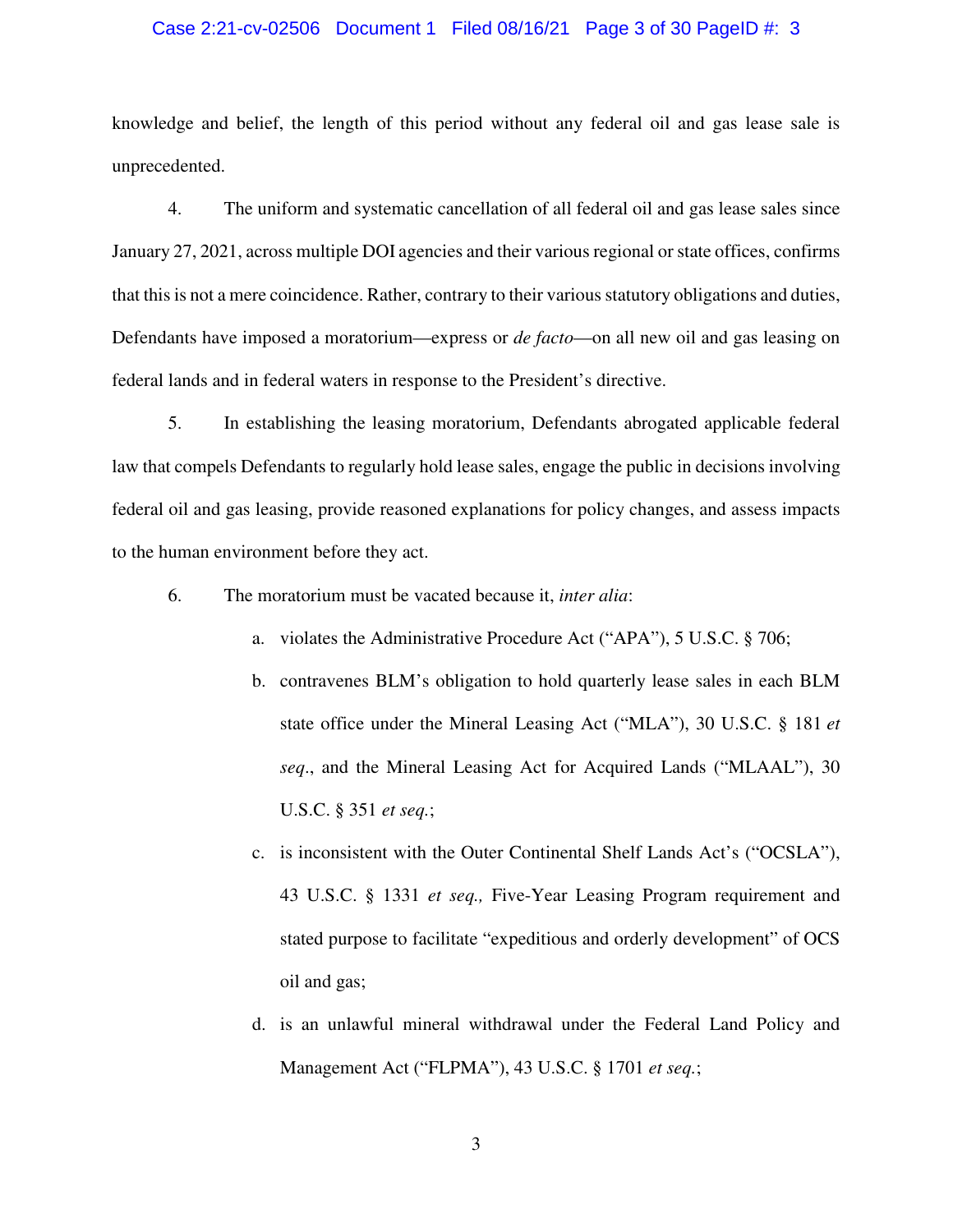#### Case 2:21-cv-02506 Document 1 Filed 08/16/21 Page 3 of 30 PageID #: 3

knowledge and belief, the length of this period without any federal oil and gas lease sale is unprecedented.

4. The uniform and systematic cancellation of all federal oil and gas lease sales since January 27, 2021, across multiple DOI agencies and their various regional or state offices, confirms that this is not a mere coincidence. Rather, contrary to their various statutory obligations and duties, Defendants have imposed a moratorium—express or *de facto*—on all new oil and gas leasing on federal lands and in federal waters in response to the President's directive.

5. In establishing the leasing moratorium, Defendants abrogated applicable federal law that compels Defendants to regularly hold lease sales, engage the public in decisions involving federal oil and gas leasing, provide reasoned explanations for policy changes, and assess impacts to the human environment before they act.

- 6. The moratorium must be vacated because it, *inter alia*:
	- a. violates the Administrative Procedure Act ("APA"), 5 U.S.C. § 706;
	- b. contravenes BLM's obligation to hold quarterly lease sales in each BLM state office under the Mineral Leasing Act ("MLA"), 30 U.S.C. § 181 *et seq*., and the Mineral Leasing Act for Acquired Lands ("MLAAL"), 30 U.S.C. § 351 *et seq.*;
	- c. is inconsistent with the Outer Continental Shelf Lands Act's ("OCSLA"), 43 U.S.C. § 1331 *et seq.,* Five-Year Leasing Program requirement and stated purpose to facilitate "expeditious and orderly development" of OCS oil and gas;
	- d. is an unlawful mineral withdrawal under the Federal Land Policy and Management Act ("FLPMA"), 43 U.S.C. § 1701 *et seq.*;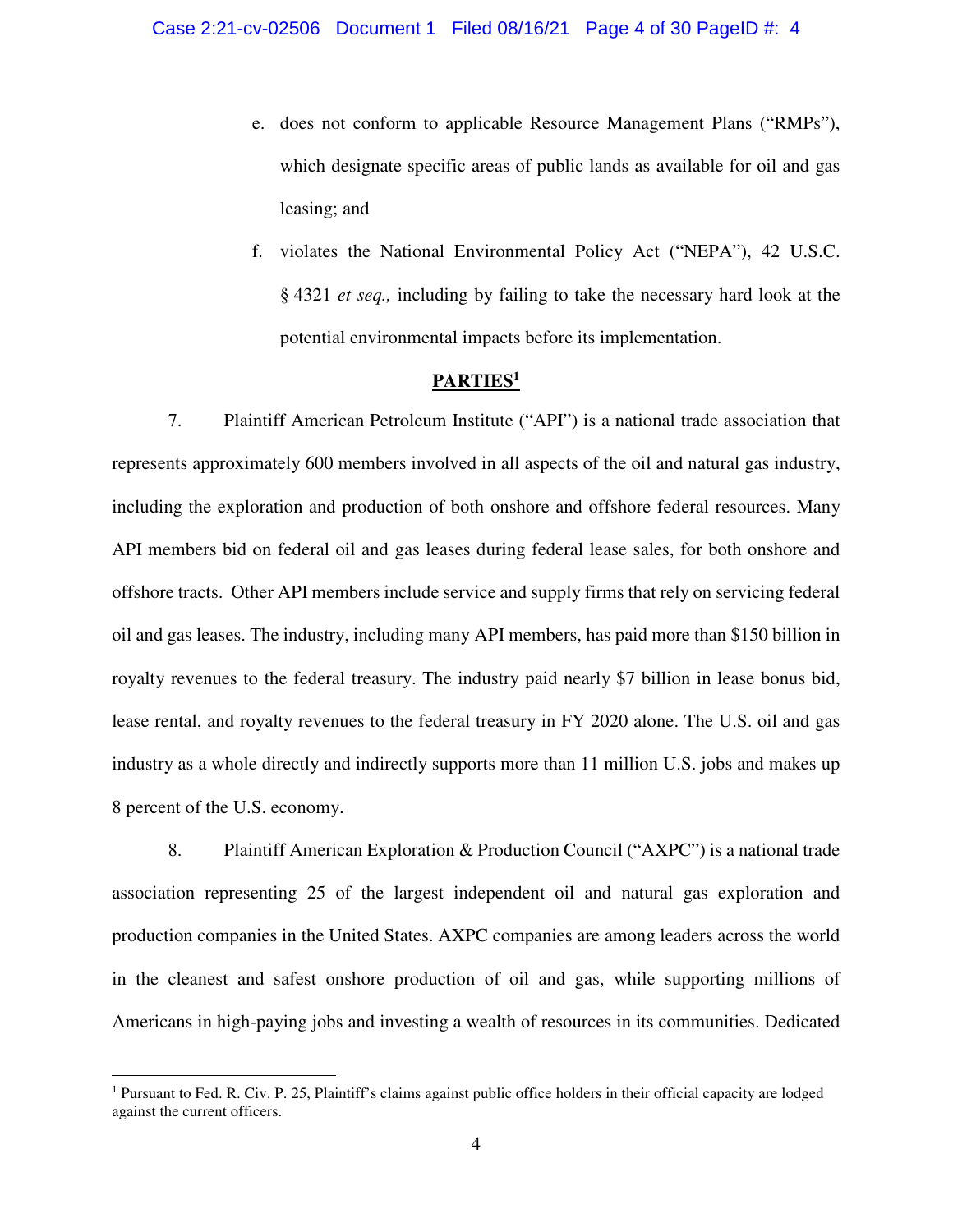- e. does not conform to applicable Resource Management Plans ("RMPs"), which designate specific areas of public lands as available for oil and gas leasing; and
- f. violates the National Environmental Policy Act ("NEPA"), 42 U.S.C. § 4321 *et seq.,* including by failing to take the necessary hard look at the potential environmental impacts before its implementation.

### **PARTIES<sup>1</sup>**

7. Plaintiff American Petroleum Institute ("API") is a national trade association that represents approximately 600 members involved in all aspects of the oil and natural gas industry, including the exploration and production of both onshore and offshore federal resources. Many API members bid on federal oil and gas leases during federal lease sales, for both onshore and offshore tracts. Other API members include service and supply firms that rely on servicing federal oil and gas leases. The industry, including many API members, has paid more than \$150 billion in royalty revenues to the federal treasury. The industry paid nearly \$7 billion in lease bonus bid, lease rental, and royalty revenues to the federal treasury in FY 2020 alone. The U.S. oil and gas industry as a whole directly and indirectly supports more than 11 million U.S. jobs and makes up 8 percent of the U.S. economy.

8. Plaintiff American Exploration & Production Council ("AXPC") is a national trade association representing 25 of the largest independent oil and natural gas exploration and production companies in the United States. AXPC companies are among leaders across the world in the cleanest and safest onshore production of oil and gas, while supporting millions of Americans in high-paying jobs and investing a wealth of resources in its communities. Dedicated

-

<sup>&</sup>lt;sup>1</sup> Pursuant to Fed. R. Civ. P. 25, Plaintiff's claims against public office holders in their official capacity are lodged against the current officers.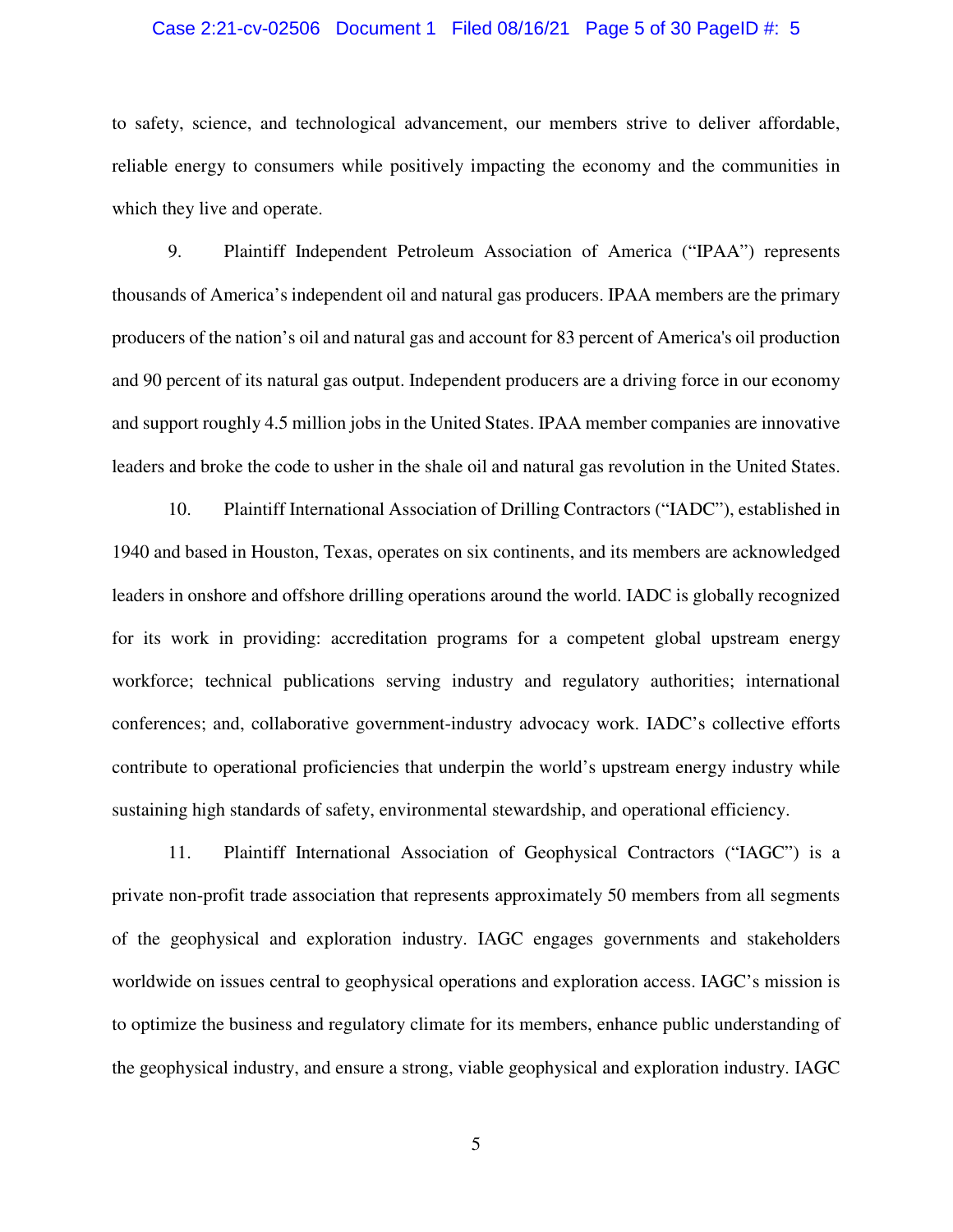### Case 2:21-cv-02506 Document 1 Filed 08/16/21 Page 5 of 30 PageID #: 5

to safety, science, and technological advancement, our members strive to deliver affordable, reliable energy to consumers while positively impacting the economy and the communities in which they live and operate.

9. Plaintiff Independent Petroleum Association of America ("IPAA") represents thousands of America's independent oil and natural gas producers. IPAA members are the primary producers of the nation's oil and natural gas and account for 83 percent of America's oil production and 90 percent of its natural gas output. Independent producers are a driving force in our economy and support roughly 4.5 million jobs in the United States. IPAA member companies are innovative leaders and broke the code to usher in the shale oil and natural gas revolution in the United States.

10. Plaintiff International Association of Drilling Contractors ("IADC"), established in 1940 and based in Houston, Texas, operates on six continents, and its members are acknowledged leaders in onshore and offshore drilling operations around the world. IADC is globally recognized for its work in providing: accreditation programs for a competent global upstream energy workforce; technical publications serving industry and regulatory authorities; international conferences; and, collaborative government-industry advocacy work. IADC's collective efforts contribute to operational proficiencies that underpin the world's upstream energy industry while sustaining high standards of safety, environmental stewardship, and operational efficiency.

11. Plaintiff International Association of Geophysical Contractors ("IAGC") is a private non-profit trade association that represents approximately 50 members from all segments of the geophysical and exploration industry. IAGC engages governments and stakeholders worldwide on issues central to geophysical operations and exploration access. IAGC's mission is to optimize the business and regulatory climate for its members, enhance public understanding of the geophysical industry, and ensure a strong, viable geophysical and exploration industry. IAGC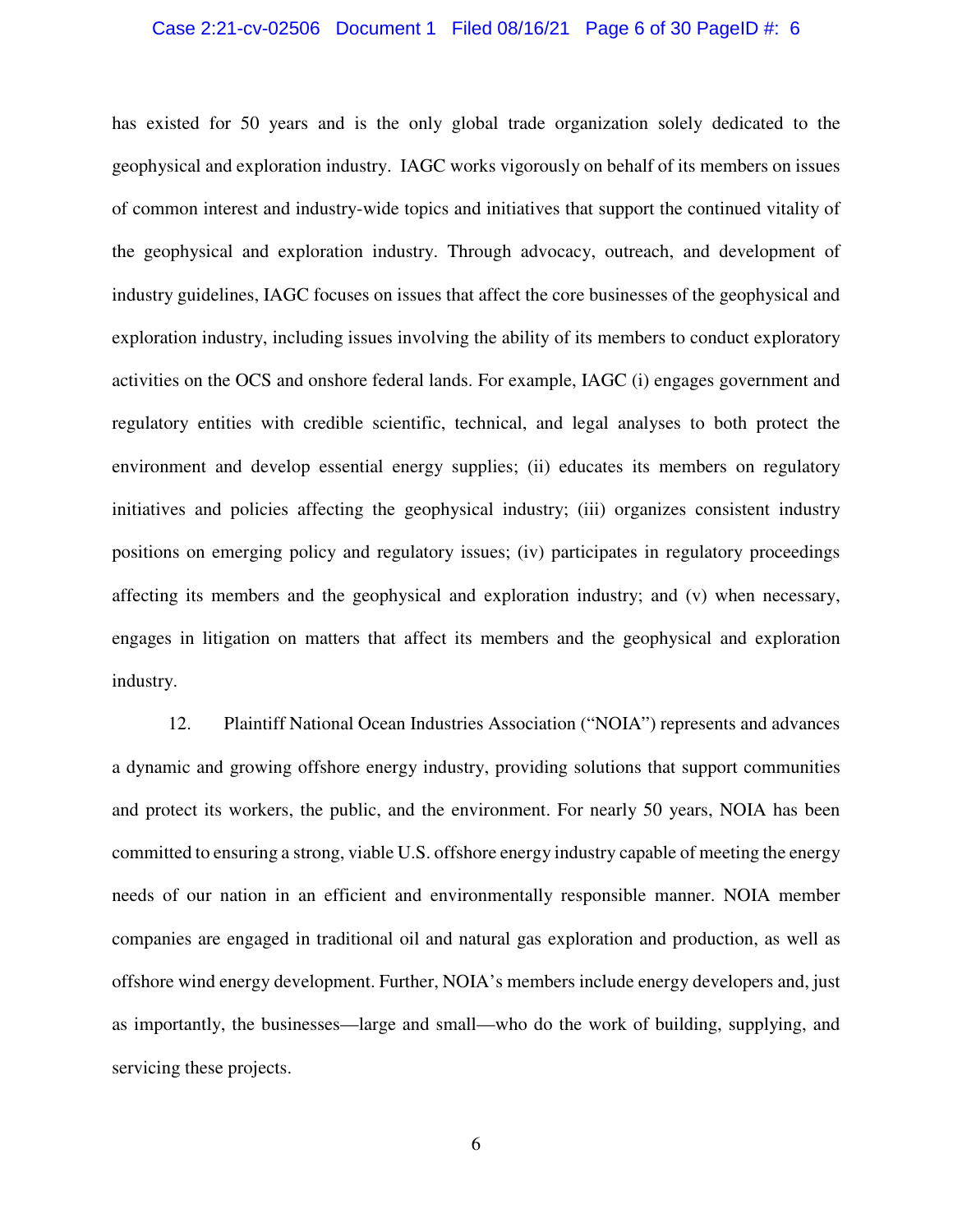### Case 2:21-cv-02506 Document 1 Filed 08/16/21 Page 6 of 30 PageID #: 6

has existed for 50 years and is the only global trade organization solely dedicated to the geophysical and exploration industry. IAGC works vigorously on behalf of its members on issues of common interest and industry-wide topics and initiatives that support the continued vitality of the geophysical and exploration industry. Through advocacy, outreach, and development of industry guidelines, IAGC focuses on issues that affect the core businesses of the geophysical and exploration industry, including issues involving the ability of its members to conduct exploratory activities on the OCS and onshore federal lands. For example, IAGC (i) engages government and regulatory entities with credible scientific, technical, and legal analyses to both protect the environment and develop essential energy supplies; (ii) educates its members on regulatory initiatives and policies affecting the geophysical industry; (iii) organizes consistent industry positions on emerging policy and regulatory issues; (iv) participates in regulatory proceedings affecting its members and the geophysical and exploration industry; and (v) when necessary, engages in litigation on matters that affect its members and the geophysical and exploration industry.

12. Plaintiff National Ocean Industries Association ("NOIA") represents and advances a dynamic and growing offshore energy industry, providing solutions that support communities and protect its workers, the public, and the environment. For nearly 50 years, NOIA has been committed to ensuring a strong, viable U.S. offshore energy industry capable of meeting the energy needs of our nation in an efficient and environmentally responsible manner. NOIA member companies are engaged in traditional oil and natural gas exploration and production, as well as offshore wind energy development. Further, NOIA's members include energy developers and, just as importantly, the businesses—large and small—who do the work of building, supplying, and servicing these projects.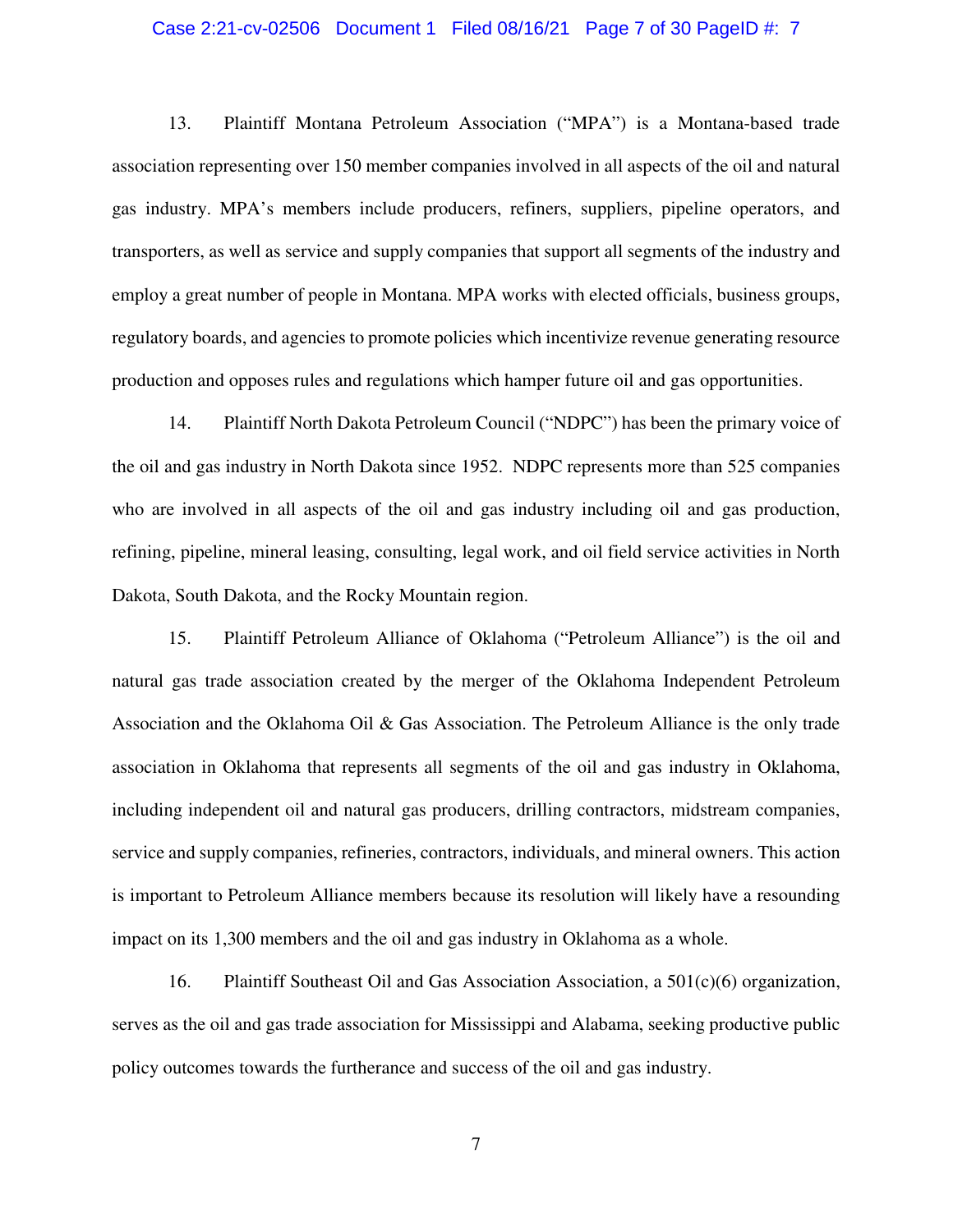### Case 2:21-cv-02506 Document 1 Filed 08/16/21 Page 7 of 30 PageID #: 7

13. Plaintiff Montana Petroleum Association ("MPA") is a Montana-based trade association representing over 150 member companies involved in all aspects of the oil and natural gas industry. MPA's members include producers, refiners, suppliers, pipeline operators, and transporters, as well as service and supply companies that support all segments of the industry and employ a great number of people in Montana. MPA works with elected officials, business groups, regulatory boards, and agencies to promote policies which incentivize revenue generating resource production and opposes rules and regulations which hamper future oil and gas opportunities.

14. Plaintiff North Dakota Petroleum Council ("NDPC") has been the primary voice of the oil and gas industry in North Dakota since 1952. NDPC represents more than 525 companies who are involved in all aspects of the oil and gas industry including oil and gas production, refining, pipeline, mineral leasing, consulting, legal work, and oil field service activities in North Dakota, South Dakota, and the Rocky Mountain region.

15. Plaintiff Petroleum Alliance of Oklahoma ("Petroleum Alliance") is the oil and natural gas trade association created by the merger of the Oklahoma Independent Petroleum Association and the Oklahoma Oil & Gas Association. The Petroleum Alliance is the only trade association in Oklahoma that represents all segments of the oil and gas industry in Oklahoma, including independent oil and natural gas producers, drilling contractors, midstream companies, service and supply companies, refineries, contractors, individuals, and mineral owners. This action is important to Petroleum Alliance members because its resolution will likely have a resounding impact on its 1,300 members and the oil and gas industry in Oklahoma as a whole.

16. Plaintiff Southeast Oil and Gas Association Association, a 501(c)(6) organization, serves as the oil and gas trade association for Mississippi and Alabama, seeking productive public policy outcomes towards the furtherance and success of the oil and gas industry.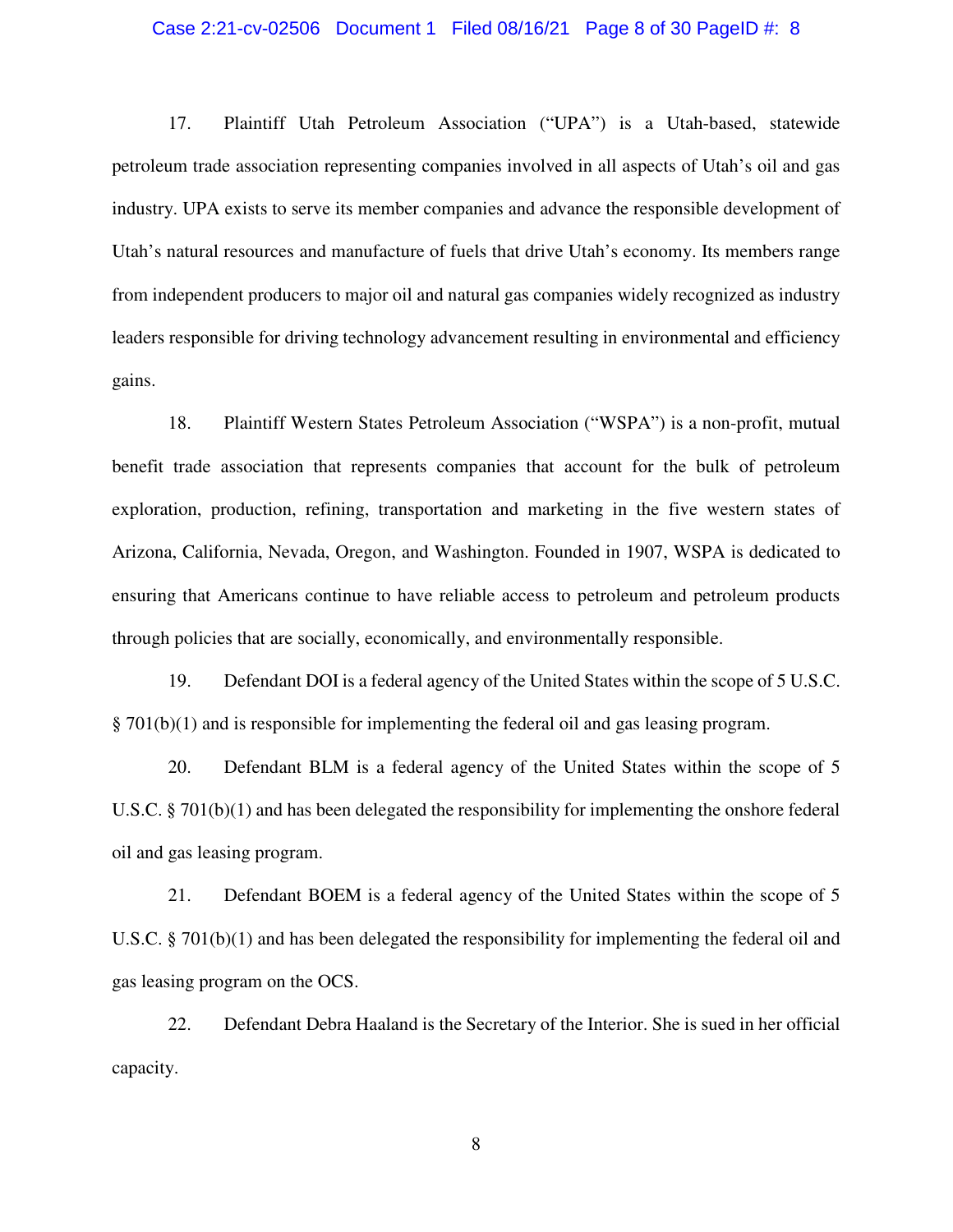### Case 2:21-cv-02506 Document 1 Filed 08/16/21 Page 8 of 30 PageID #: 8

17. Plaintiff Utah Petroleum Association ("UPA") is a Utah-based, statewide petroleum trade association representing companies involved in all aspects of Utah's oil and gas industry. UPA exists to serve its member companies and advance the responsible development of Utah's natural resources and manufacture of fuels that drive Utah's economy. Its members range from independent producers to major oil and natural gas companies widely recognized as industry leaders responsible for driving technology advancement resulting in environmental and efficiency gains.

18. Plaintiff Western States Petroleum Association ("WSPA") is a non-profit, mutual benefit trade association that represents companies that account for the bulk of petroleum exploration, production, refining, transportation and marketing in the five western states of Arizona, California, Nevada, Oregon, and Washington. Founded in 1907, WSPA is dedicated to ensuring that Americans continue to have reliable access to petroleum and petroleum products through policies that are socially, economically, and environmentally responsible.

19. Defendant DOI is a federal agency of the United States within the scope of 5 U.S.C. § 701(b)(1) and is responsible for implementing the federal oil and gas leasing program.

20. Defendant BLM is a federal agency of the United States within the scope of 5 U.S.C. § 701(b)(1) and has been delegated the responsibility for implementing the onshore federal oil and gas leasing program.

21. Defendant BOEM is a federal agency of the United States within the scope of 5 U.S.C. § 701(b)(1) and has been delegated the responsibility for implementing the federal oil and gas leasing program on the OCS.

22. Defendant Debra Haaland is the Secretary of the Interior. She is sued in her official capacity.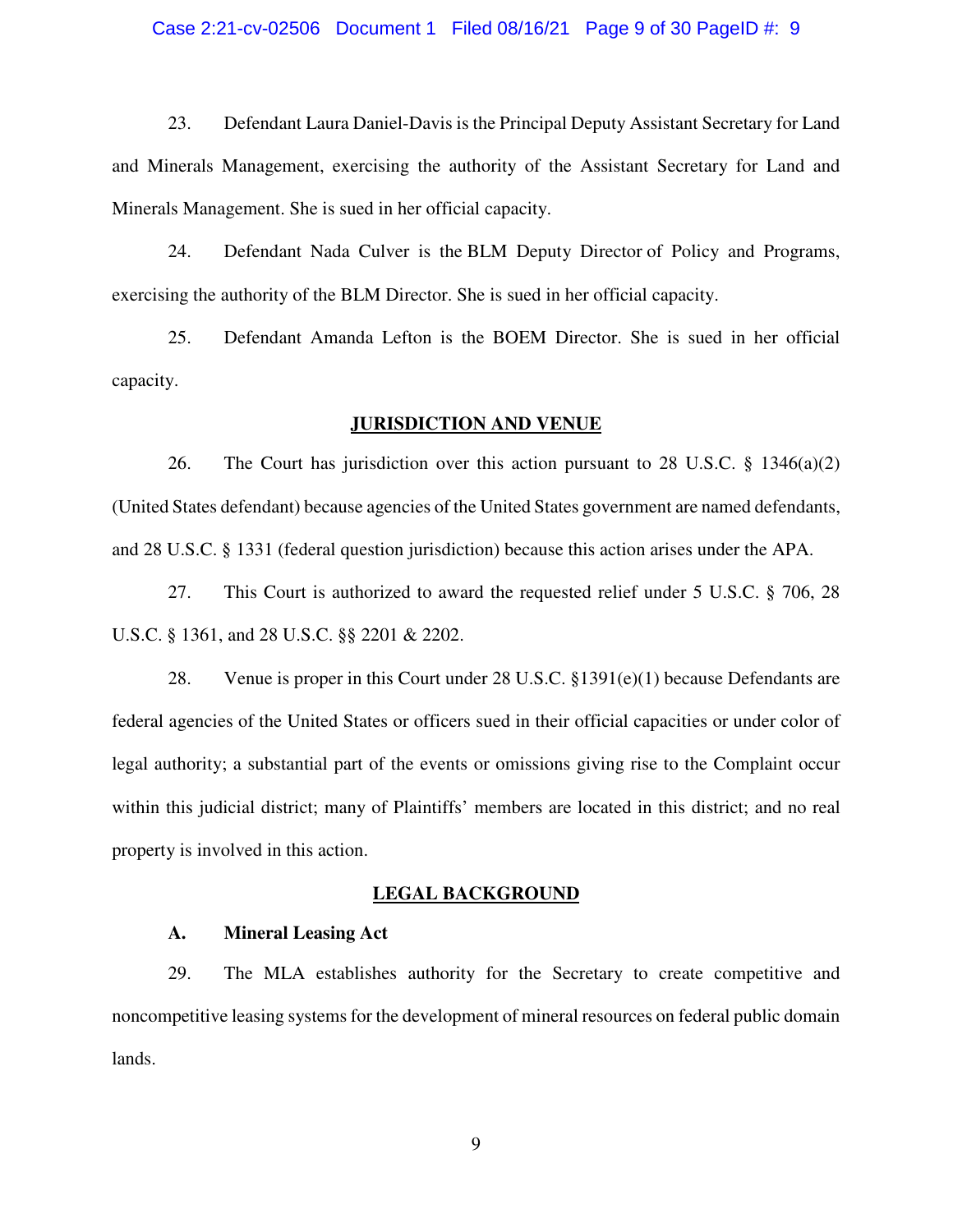### Case 2:21-cv-02506 Document 1 Filed 08/16/21 Page 9 of 30 PageID #: 9

23. Defendant Laura Daniel-Davis is the Principal Deputy Assistant Secretary for Land and Minerals Management, exercising the authority of the Assistant Secretary for Land and Minerals Management. She is sued in her official capacity.

24. Defendant Nada Culver is the BLM Deputy Director of Policy and Programs, exercising the authority of the BLM Director. She is sued in her official capacity.

25. Defendant Amanda Lefton is the BOEM Director. She is sued in her official capacity.

### **JURISDICTION AND VENUE**

26. The Court has jurisdiction over this action pursuant to 28 U.S.C. § 1346(a)(2) (United States defendant) because agencies of the United States government are named defendants, and 28 U.S.C. § 1331 (federal question jurisdiction) because this action arises under the APA.

27. This Court is authorized to award the requested relief under 5 U.S.C. § 706, 28 U.S.C. § 1361, and 28 U.S.C. §§ 2201 & 2202.

28. Venue is proper in this Court under 28 U.S.C. §1391(e)(1) because Defendants are federal agencies of the United States or officers sued in their official capacities or under color of legal authority; a substantial part of the events or omissions giving rise to the Complaint occur within this judicial district; many of Plaintiffs' members are located in this district; and no real property is involved in this action.

### **LEGAL BACKGROUND**

### **A. Mineral Leasing Act**

29. The MLA establishes authority for the Secretary to create competitive and noncompetitive leasing systems for the development of mineral resources on federal public domain lands.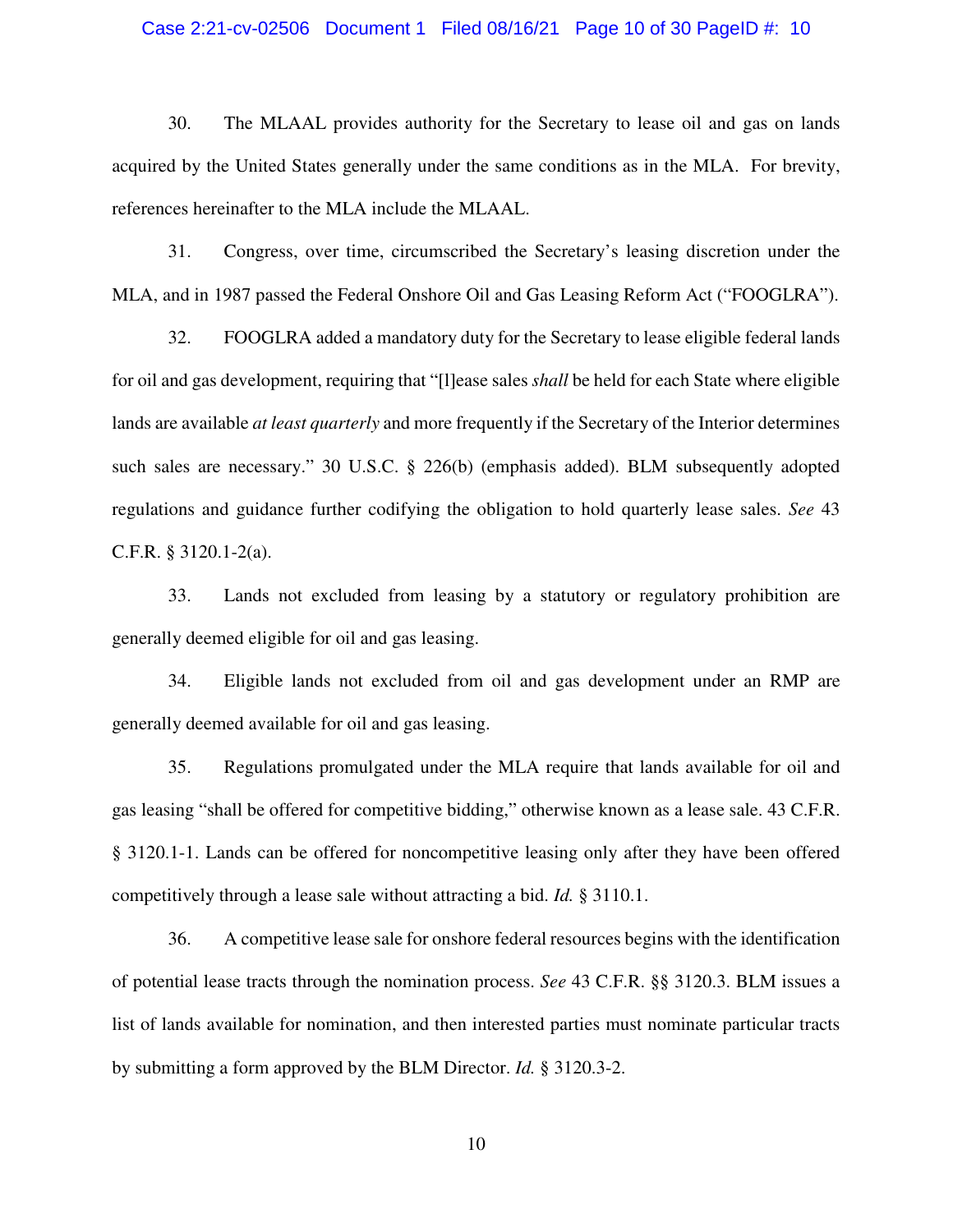### Case 2:21-cv-02506 Document 1 Filed 08/16/21 Page 10 of 30 PageID #: 10

30. The MLAAL provides authority for the Secretary to lease oil and gas on lands acquired by the United States generally under the same conditions as in the MLA. For brevity, references hereinafter to the MLA include the MLAAL.

31. Congress, over time, circumscribed the Secretary's leasing discretion under the MLA, and in 1987 passed the Federal Onshore Oil and Gas Leasing Reform Act ("FOOGLRA").

32. FOOGLRA added a mandatory duty for the Secretary to lease eligible federal lands for oil and gas development, requiring that "[l]ease sales *shall* be held for each State where eligible lands are available *at least quarterly* and more frequently if the Secretary of the Interior determines such sales are necessary." 30 U.S.C. § 226(b) (emphasis added). BLM subsequently adopted regulations and guidance further codifying the obligation to hold quarterly lease sales. *See* 43 C.F.R. § 3120.1-2(a).

33. Lands not excluded from leasing by a statutory or regulatory prohibition are generally deemed eligible for oil and gas leasing.

34. Eligible lands not excluded from oil and gas development under an RMP are generally deemed available for oil and gas leasing.

35. Regulations promulgated under the MLA require that lands available for oil and gas leasing "shall be offered for competitive bidding," otherwise known as a lease sale. 43 C.F.R. § 3120.1-1. Lands can be offered for noncompetitive leasing only after they have been offered competitively through a lease sale without attracting a bid. *Id.* § 3110.1.

36. A competitive lease sale for onshore federal resources begins with the identification of potential lease tracts through the nomination process. *See* 43 C.F.R. §§ 3120.3. BLM issues a list of lands available for nomination, and then interested parties must nominate particular tracts by submitting a form approved by the BLM Director. *Id.* § 3120.3-2.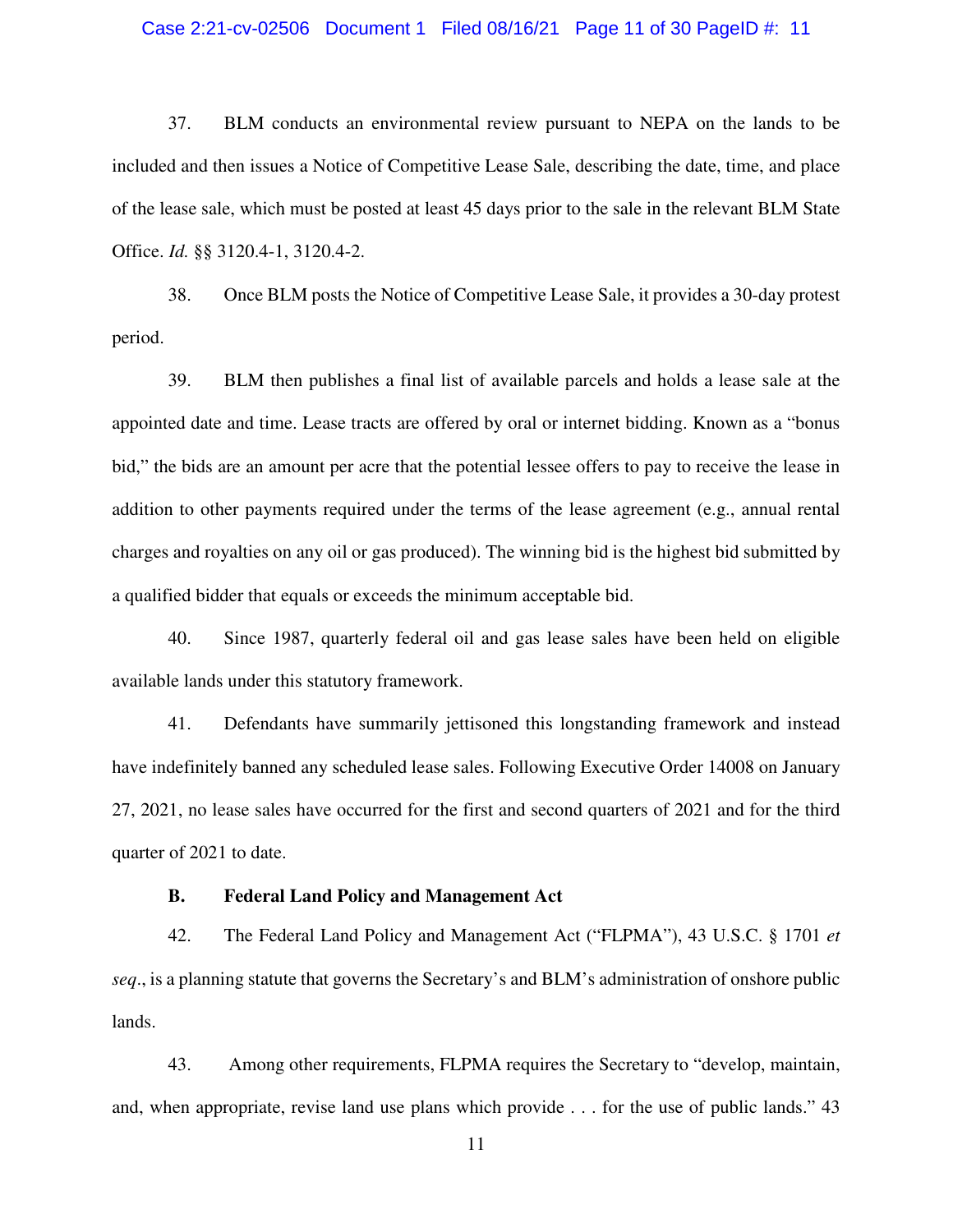### Case 2:21-cv-02506 Document 1 Filed 08/16/21 Page 11 of 30 PageID #: 11

37. BLM conducts an environmental review pursuant to NEPA on the lands to be included and then issues a Notice of Competitive Lease Sale, describing the date, time, and place of the lease sale, which must be posted at least 45 days prior to the sale in the relevant BLM State Office. *Id.* §§ 3120.4-1, 3120.4-2.

38. Once BLM posts the Notice of Competitive Lease Sale, it provides a 30-day protest period.

39. BLM then publishes a final list of available parcels and holds a lease sale at the appointed date and time. Lease tracts are offered by oral or internet bidding. Known as a "bonus bid," the bids are an amount per acre that the potential lessee offers to pay to receive the lease in addition to other payments required under the terms of the lease agreement (e.g., annual rental charges and royalties on any oil or gas produced). The winning bid is the highest bid submitted by a qualified bidder that equals or exceeds the minimum acceptable bid.

40. Since 1987, quarterly federal oil and gas lease sales have been held on eligible available lands under this statutory framework.

41. Defendants have summarily jettisoned this longstanding framework and instead have indefinitely banned any scheduled lease sales. Following Executive Order 14008 on January 27, 2021, no lease sales have occurred for the first and second quarters of 2021 and for the third quarter of 2021 to date.

### **B. Federal Land Policy and Management Act**

42. The Federal Land Policy and Management Act ("FLPMA"), 43 U.S.C. § 1701 *et seq*., is a planning statute that governs the Secretary's and BLM's administration of onshore public lands.

43. Among other requirements, FLPMA requires the Secretary to "develop, maintain, and, when appropriate, revise land use plans which provide . . . for the use of public lands." 43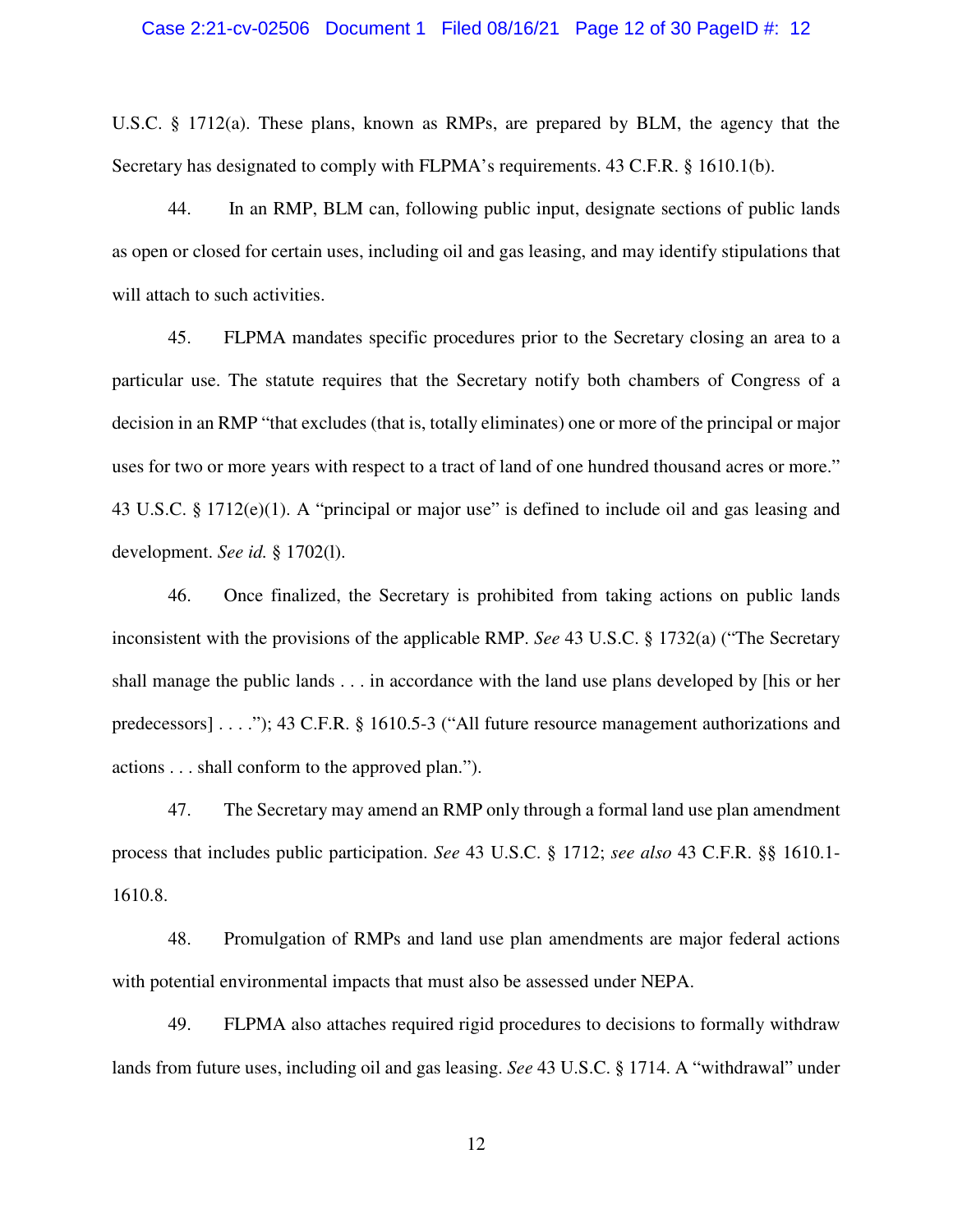### Case 2:21-cv-02506 Document 1 Filed 08/16/21 Page 12 of 30 PageID #: 12

U.S.C. § 1712(a). These plans, known as RMPs, are prepared by BLM, the agency that the Secretary has designated to comply with FLPMA's requirements. 43 C.F.R. § 1610.1(b).

44. In an RMP, BLM can, following public input, designate sections of public lands as open or closed for certain uses, including oil and gas leasing, and may identify stipulations that will attach to such activities.

45. FLPMA mandates specific procedures prior to the Secretary closing an area to a particular use. The statute requires that the Secretary notify both chambers of Congress of a decision in an RMP "that excludes (that is, totally eliminates) one or more of the principal or major uses for two or more years with respect to a tract of land of one hundred thousand acres or more." 43 U.S.C. § 1712(e)(1). A "principal or major use" is defined to include oil and gas leasing and development. *See id.* § 1702(l).

46. Once finalized, the Secretary is prohibited from taking actions on public lands inconsistent with the provisions of the applicable RMP. *See* 43 U.S.C. § 1732(a) ("The Secretary shall manage the public lands . . . in accordance with the land use plans developed by [his or her predecessors] . . . ."); 43 C.F.R. § 1610.5-3 ("All future resource management authorizations and actions . . . shall conform to the approved plan.").

47. The Secretary may amend an RMP only through a formal land use plan amendment process that includes public participation. *See* 43 U.S.C. § 1712; *see also* 43 C.F.R. §§ 1610.1- 1610.8.

48. Promulgation of RMPs and land use plan amendments are major federal actions with potential environmental impacts that must also be assessed under NEPA.

49. FLPMA also attaches required rigid procedures to decisions to formally withdraw lands from future uses, including oil and gas leasing. *See* 43 U.S.C. § 1714. A "withdrawal" under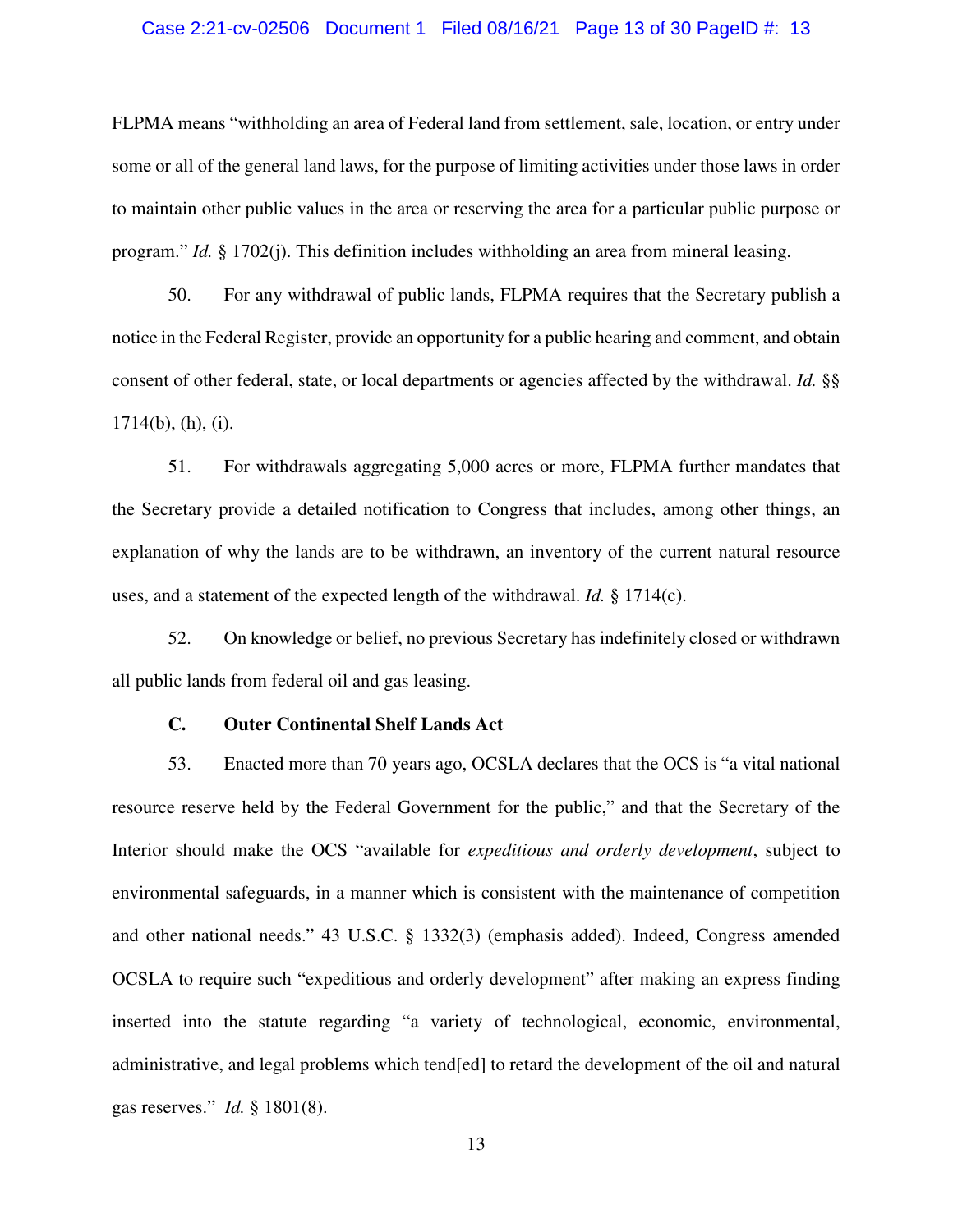### Case 2:21-cv-02506 Document 1 Filed 08/16/21 Page 13 of 30 PageID #: 13

FLPMA means "withholding an area of Federal land from settlement, sale, location, or entry under some or all of the general land laws, for the purpose of limiting activities under those laws in order to maintain other public values in the area or reserving the area for a particular public purpose or program." *Id.* § 1702(j). This definition includes withholding an area from mineral leasing.

50. For any withdrawal of public lands, FLPMA requires that the Secretary publish a notice in the Federal Register, provide an opportunity for a public hearing and comment, and obtain consent of other federal, state, or local departments or agencies affected by the withdrawal. *Id.* §§ 1714(b), (h), (i).

51. For withdrawals aggregating 5,000 acres or more, FLPMA further mandates that the Secretary provide a detailed notification to Congress that includes, among other things, an explanation of why the lands are to be withdrawn, an inventory of the current natural resource uses, and a statement of the expected length of the withdrawal. *Id.* § 1714(c).

52. On knowledge or belief, no previous Secretary has indefinitely closed or withdrawn all public lands from federal oil and gas leasing.

### **C. Outer Continental Shelf Lands Act**

53. Enacted more than 70 years ago, OCSLA declares that the OCS is "a vital national resource reserve held by the Federal Government for the public," and that the Secretary of the Interior should make the OCS "available for *expeditious and orderly development*, subject to environmental safeguards, in a manner which is consistent with the maintenance of competition and other national needs." 43 U.S.C. § 1332(3) (emphasis added). Indeed, Congress amended OCSLA to require such "expeditious and orderly development" after making an express finding inserted into the statute regarding "a variety of technological, economic, environmental, administrative, and legal problems which tend[ed] to retard the development of the oil and natural gas reserves." *Id.* § 1801(8).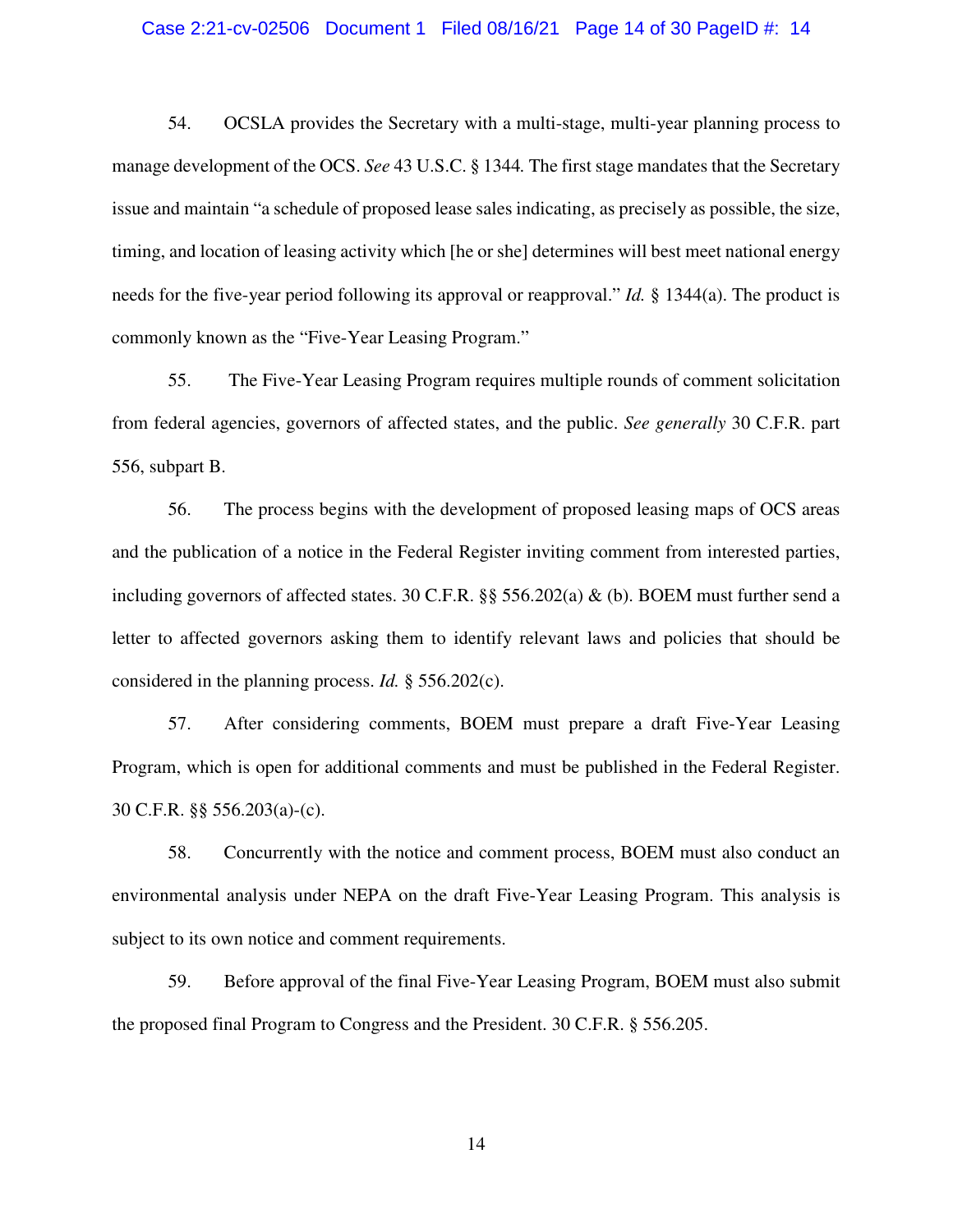#### Case 2:21-cv-02506 Document 1 Filed 08/16/21 Page 14 of 30 PageID #: 14

54. OCSLA provides the Secretary with a multi-stage, multi-year planning process to manage development of the OCS. *See* 43 U.S.C. § 1344*.* The first stage mandates that the Secretary issue and maintain "a schedule of proposed lease sales indicating, as precisely as possible, the size, timing, and location of leasing activity which [he or she] determines will best meet national energy needs for the five-year period following its approval or reapproval." *Id.* § 1344(a). The product is commonly known as the "Five-Year Leasing Program."

55. The Five-Year Leasing Program requires multiple rounds of comment solicitation from federal agencies, governors of affected states, and the public. *See generally* 30 C.F.R. part 556, subpart B.

56. The process begins with the development of proposed leasing maps of OCS areas and the publication of a notice in the Federal Register inviting comment from interested parties, including governors of affected states. 30 C.F.R.  $\S$  556.202(a) & (b). BOEM must further send a letter to affected governors asking them to identify relevant laws and policies that should be considered in the planning process. *Id.* § 556.202(c).

57. After considering comments, BOEM must prepare a draft Five-Year Leasing Program, which is open for additional comments and must be published in the Federal Register. 30 C.F.R. §§ 556.203(a)-(c).

58. Concurrently with the notice and comment process, BOEM must also conduct an environmental analysis under NEPA on the draft Five-Year Leasing Program. This analysis is subject to its own notice and comment requirements.

59. Before approval of the final Five-Year Leasing Program, BOEM must also submit the proposed final Program to Congress and the President. 30 C.F.R. § 556.205.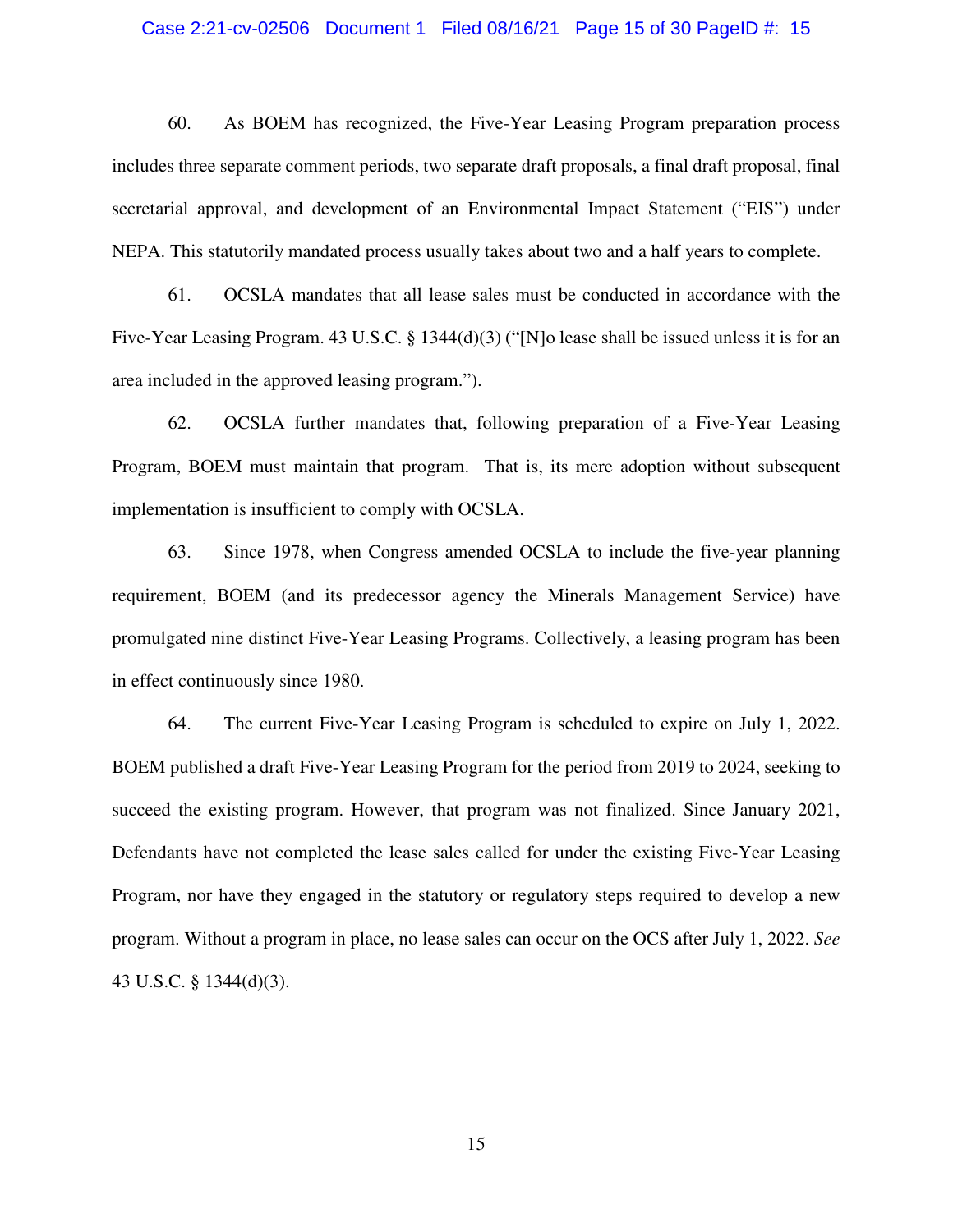### Case 2:21-cv-02506 Document 1 Filed 08/16/21 Page 15 of 30 PageID #: 15

60. As BOEM has recognized, the Five-Year Leasing Program preparation process includes three separate comment periods, two separate draft proposals, a final draft proposal, final secretarial approval, and development of an Environmental Impact Statement ("EIS") under NEPA. This statutorily mandated process usually takes about two and a half years to complete.

61. OCSLA mandates that all lease sales must be conducted in accordance with the Five-Year Leasing Program. 43 U.S.C. § 1344(d)(3) ("[N]o lease shall be issued unless it is for an area included in the approved leasing program.").

62. OCSLA further mandates that, following preparation of a Five-Year Leasing Program, BOEM must maintain that program. That is, its mere adoption without subsequent implementation is insufficient to comply with OCSLA.

63. Since 1978, when Congress amended OCSLA to include the five-year planning requirement, BOEM (and its predecessor agency the Minerals Management Service) have promulgated nine distinct Five-Year Leasing Programs. Collectively, a leasing program has been in effect continuously since 1980.

64. The current Five-Year Leasing Program is scheduled to expire on July 1, 2022. BOEM published a draft Five-Year Leasing Program for the period from 2019 to 2024, seeking to succeed the existing program. However, that program was not finalized. Since January 2021, Defendants have not completed the lease sales called for under the existing Five-Year Leasing Program, nor have they engaged in the statutory or regulatory steps required to develop a new program. Without a program in place, no lease sales can occur on the OCS after July 1, 2022. *See*  43 U.S.C. § 1344(d)(3).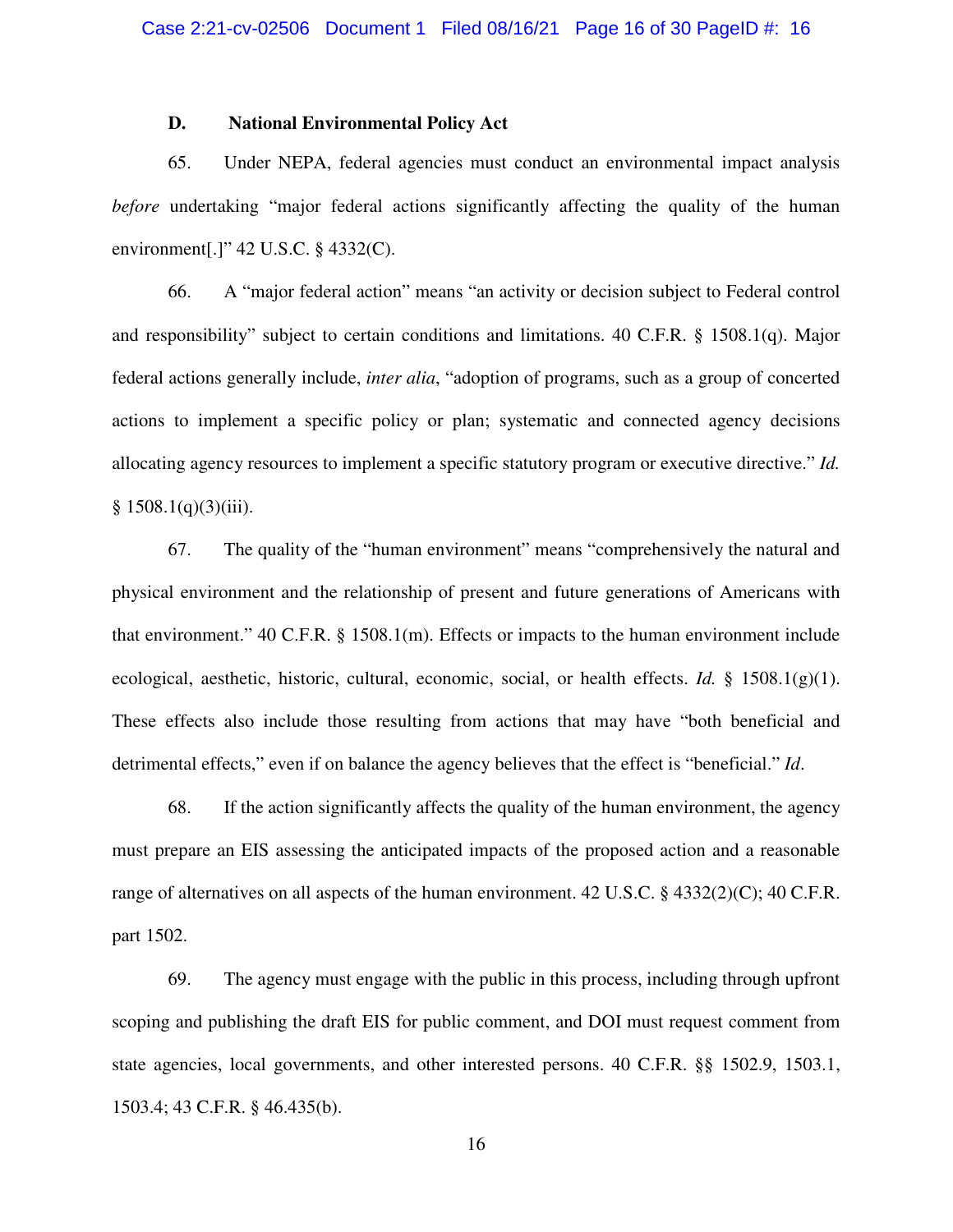### **D. National Environmental Policy Act**

65. Under NEPA, federal agencies must conduct an environmental impact analysis *before* undertaking "major federal actions significantly affecting the quality of the human environment[.]" 42 U.S.C. § 4332(C).

66. A "major federal action" means "an activity or decision subject to Federal control and responsibility" subject to certain conditions and limitations. 40 C.F.R. § 1508.1(q). Major federal actions generally include, *inter alia*, "adoption of programs, such as a group of concerted actions to implement a specific policy or plan; systematic and connected agency decisions allocating agency resources to implement a specific statutory program or executive directive." *Id.*   $§ 1508.1(q)(3)(iii).$ 

67. The quality of the "human environment" means "comprehensively the natural and physical environment and the relationship of present and future generations of Americans with that environment." 40 C.F.R. § 1508.1(m). Effects or impacts to the human environment include ecological, aesthetic, historic, cultural, economic, social, or health effects. *Id.* § 1508.1(g)(1). These effects also include those resulting from actions that may have "both beneficial and detrimental effects," even if on balance the agency believes that the effect is "beneficial." *Id*.

68. If the action significantly affects the quality of the human environment, the agency must prepare an EIS assessing the anticipated impacts of the proposed action and a reasonable range of alternatives on all aspects of the human environment. 42 U.S.C. § 4332(2)(C); 40 C.F.R. part 1502.

69. The agency must engage with the public in this process, including through upfront scoping and publishing the draft EIS for public comment, and DOI must request comment from state agencies, local governments, and other interested persons. 40 C.F.R. §§ 1502.9, 1503.1, 1503.4; 43 C.F.R. § 46.435(b).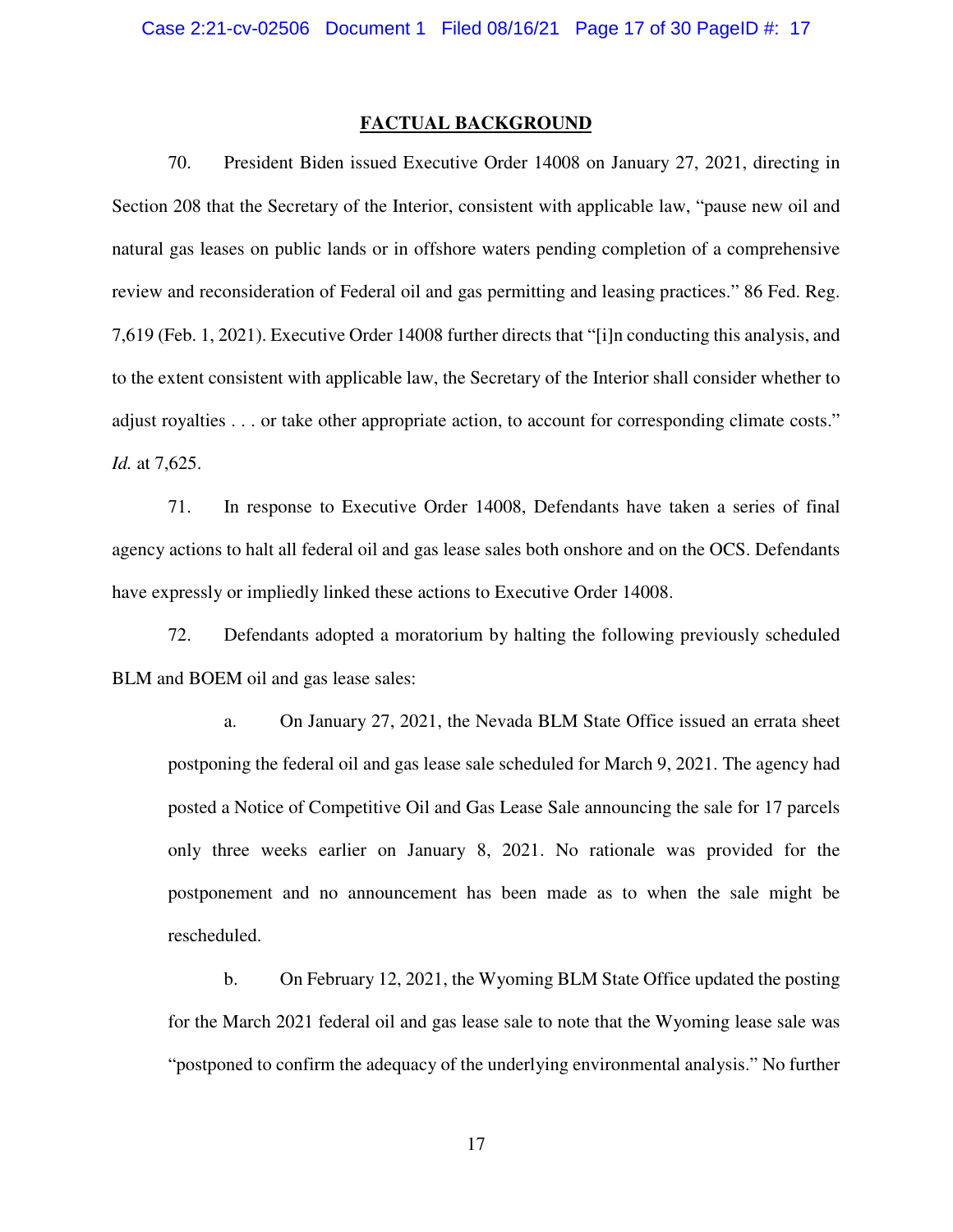### **FACTUAL BACKGROUND**

70. President Biden issued Executive Order 14008 on January 27, 2021, directing in Section 208 that the Secretary of the Interior, consistent with applicable law, "pause new oil and natural gas leases on public lands or in offshore waters pending completion of a comprehensive review and reconsideration of Federal oil and gas permitting and leasing practices." 86 Fed. Reg. 7,619 (Feb. 1, 2021). Executive Order 14008 further directs that "[i]n conducting this analysis, and to the extent consistent with applicable law, the Secretary of the Interior shall consider whether to adjust royalties . . . or take other appropriate action, to account for corresponding climate costs." *Id.* at 7,625.

71. In response to Executive Order 14008, Defendants have taken a series of final agency actions to halt all federal oil and gas lease sales both onshore and on the OCS. Defendants have expressly or impliedly linked these actions to Executive Order 14008.

72. Defendants adopted a moratorium by halting the following previously scheduled BLM and BOEM oil and gas lease sales:

a. On January 27, 2021, the Nevada BLM State Office issued an errata sheet postponing the federal oil and gas lease sale scheduled for March 9, 2021. The agency had posted a Notice of Competitive Oil and Gas Lease Sale announcing the sale for 17 parcels only three weeks earlier on January 8, 2021. No rationale was provided for the postponement and no announcement has been made as to when the sale might be rescheduled.

b. On February 12, 2021, the Wyoming BLM State Office updated the posting for the March 2021 federal oil and gas lease sale to note that the Wyoming lease sale was "postponed to confirm the adequacy of the underlying environmental analysis." No further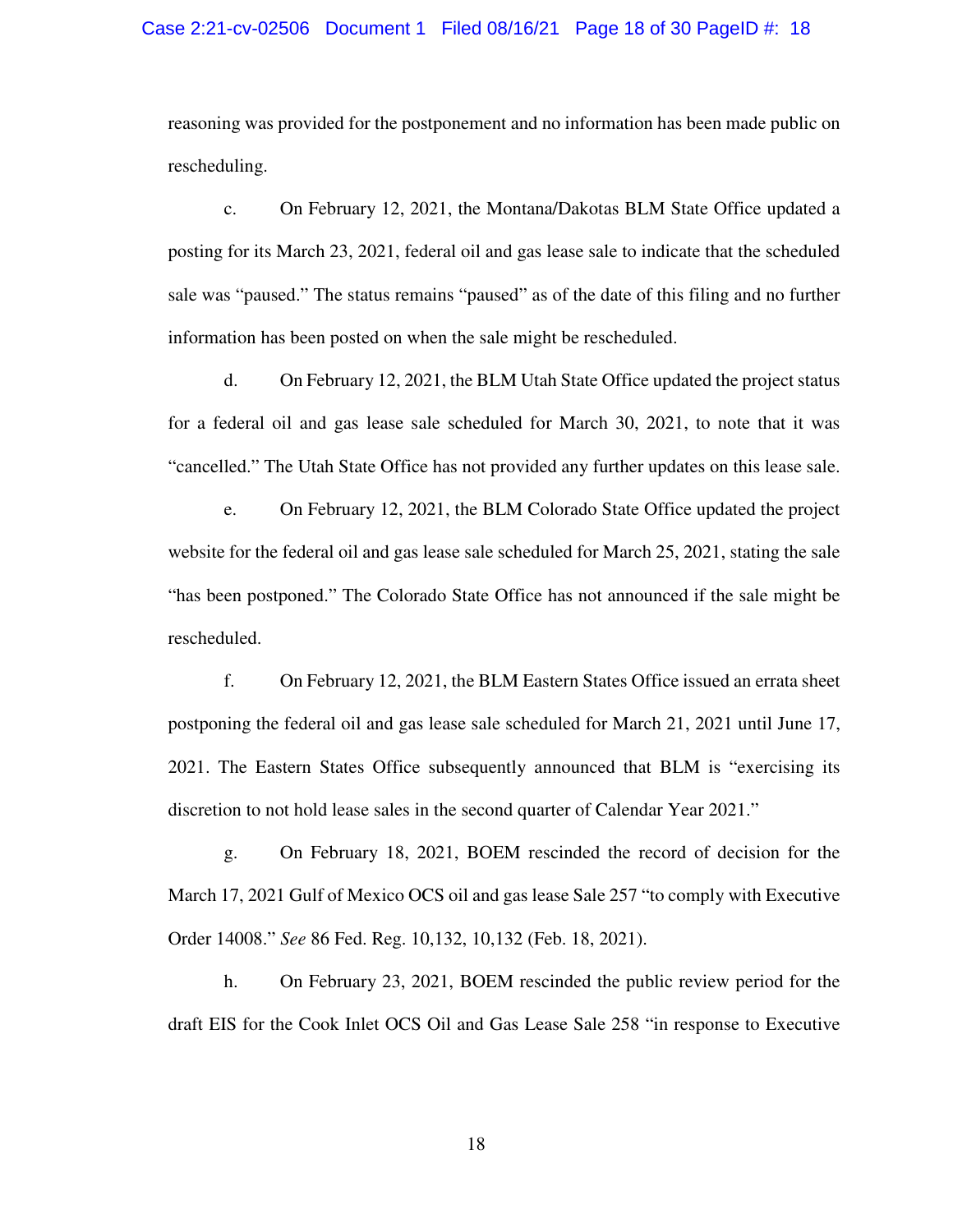### Case 2:21-cv-02506 Document 1 Filed 08/16/21 Page 18 of 30 PageID #: 18

reasoning was provided for the postponement and no information has been made public on rescheduling.

c. On February 12, 2021, the Montana/Dakotas BLM State Office updated a posting for its March 23, 2021, federal oil and gas lease sale to indicate that the scheduled sale was "paused." The status remains "paused" as of the date of this filing and no further information has been posted on when the sale might be rescheduled.

d. On February 12, 2021, the BLM Utah State Office updated the project status for a federal oil and gas lease sale scheduled for March 30, 2021, to note that it was "cancelled." The Utah State Office has not provided any further updates on this lease sale.

e. On February 12, 2021, the BLM Colorado State Office updated the project website for the federal oil and gas lease sale scheduled for March 25, 2021, stating the sale "has been postponed." The Colorado State Office has not announced if the sale might be rescheduled.

f. On February 12, 2021, the BLM Eastern States Office issued an errata sheet postponing the federal oil and gas lease sale scheduled for March 21, 2021 until June 17, 2021. The Eastern States Office subsequently announced that BLM is "exercising its discretion to not hold lease sales in the second quarter of Calendar Year 2021."

g. On February 18, 2021, BOEM rescinded the record of decision for the March 17, 2021 Gulf of Mexico OCS oil and gas lease Sale 257 "to comply with Executive Order 14008." *See* 86 Fed. Reg. 10,132, 10,132 (Feb. 18, 2021).

h. On February 23, 2021, BOEM rescinded the public review period for the draft EIS for the Cook Inlet OCS Oil and Gas Lease Sale 258 "in response to Executive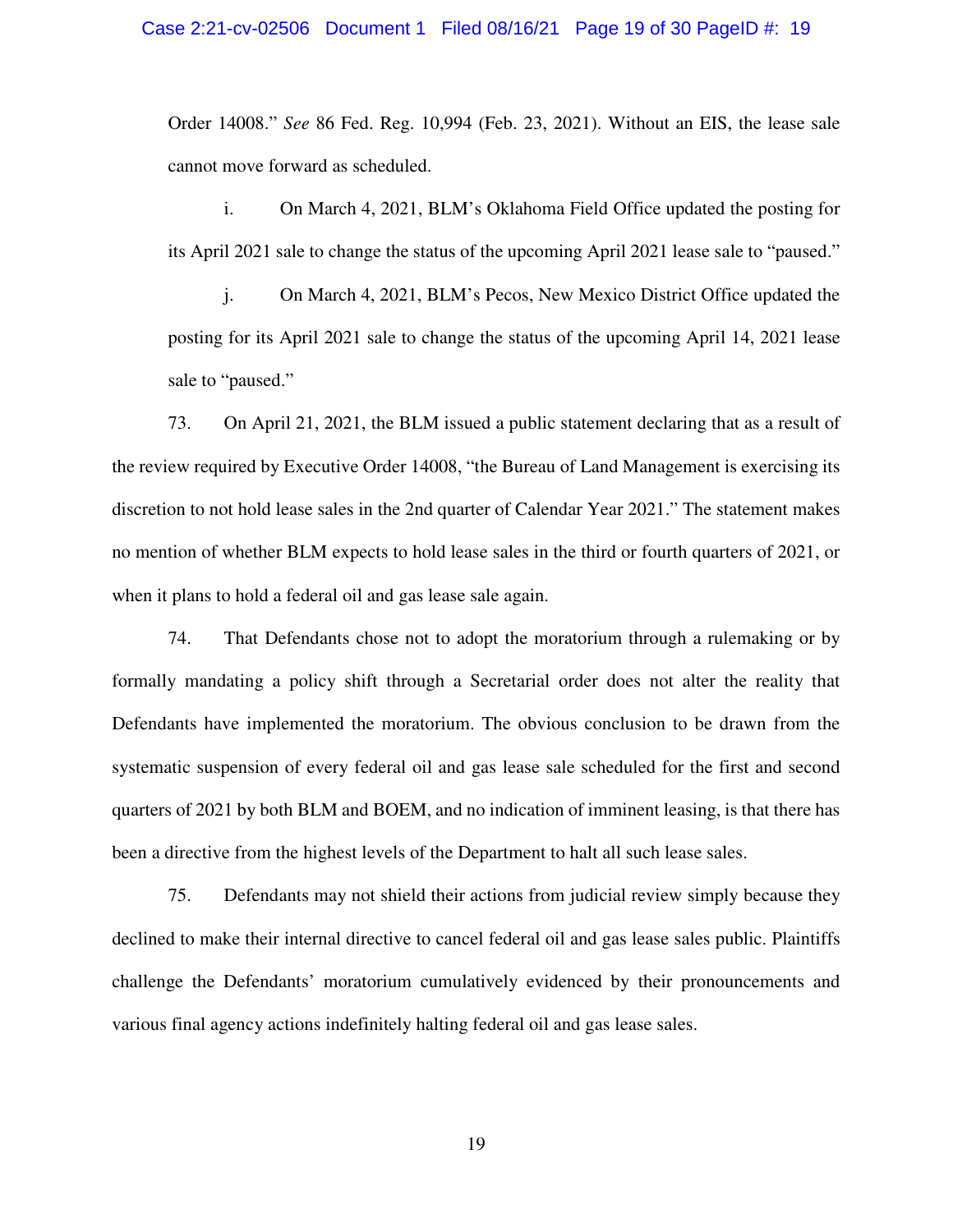### Case 2:21-cv-02506 Document 1 Filed 08/16/21 Page 19 of 30 PageID #: 19

Order 14008." *See* 86 Fed. Reg. 10,994 (Feb. 23, 2021). Without an EIS, the lease sale cannot move forward as scheduled.

i. On March 4, 2021, BLM's Oklahoma Field Office updated the posting for its April 2021 sale to change the status of the upcoming April 2021 lease sale to "paused."

j. On March 4, 2021, BLM's Pecos, New Mexico District Office updated the posting for its April 2021 sale to change the status of the upcoming April 14, 2021 lease sale to "paused."

73. On April 21, 2021, the BLM issued a public statement declaring that as a result of the review required by Executive Order 14008, "the Bureau of Land Management is exercising its discretion to not hold lease sales in the 2nd quarter of Calendar Year 2021." The statement makes no mention of whether BLM expects to hold lease sales in the third or fourth quarters of 2021, or when it plans to hold a federal oil and gas lease sale again.

74. That Defendants chose not to adopt the moratorium through a rulemaking or by formally mandating a policy shift through a Secretarial order does not alter the reality that Defendants have implemented the moratorium. The obvious conclusion to be drawn from the systematic suspension of every federal oil and gas lease sale scheduled for the first and second quarters of 2021 by both BLM and BOEM, and no indication of imminent leasing, is that there has been a directive from the highest levels of the Department to halt all such lease sales.

75. Defendants may not shield their actions from judicial review simply because they declined to make their internal directive to cancel federal oil and gas lease sales public. Plaintiffs challenge the Defendants' moratorium cumulatively evidenced by their pronouncements and various final agency actions indefinitely halting federal oil and gas lease sales.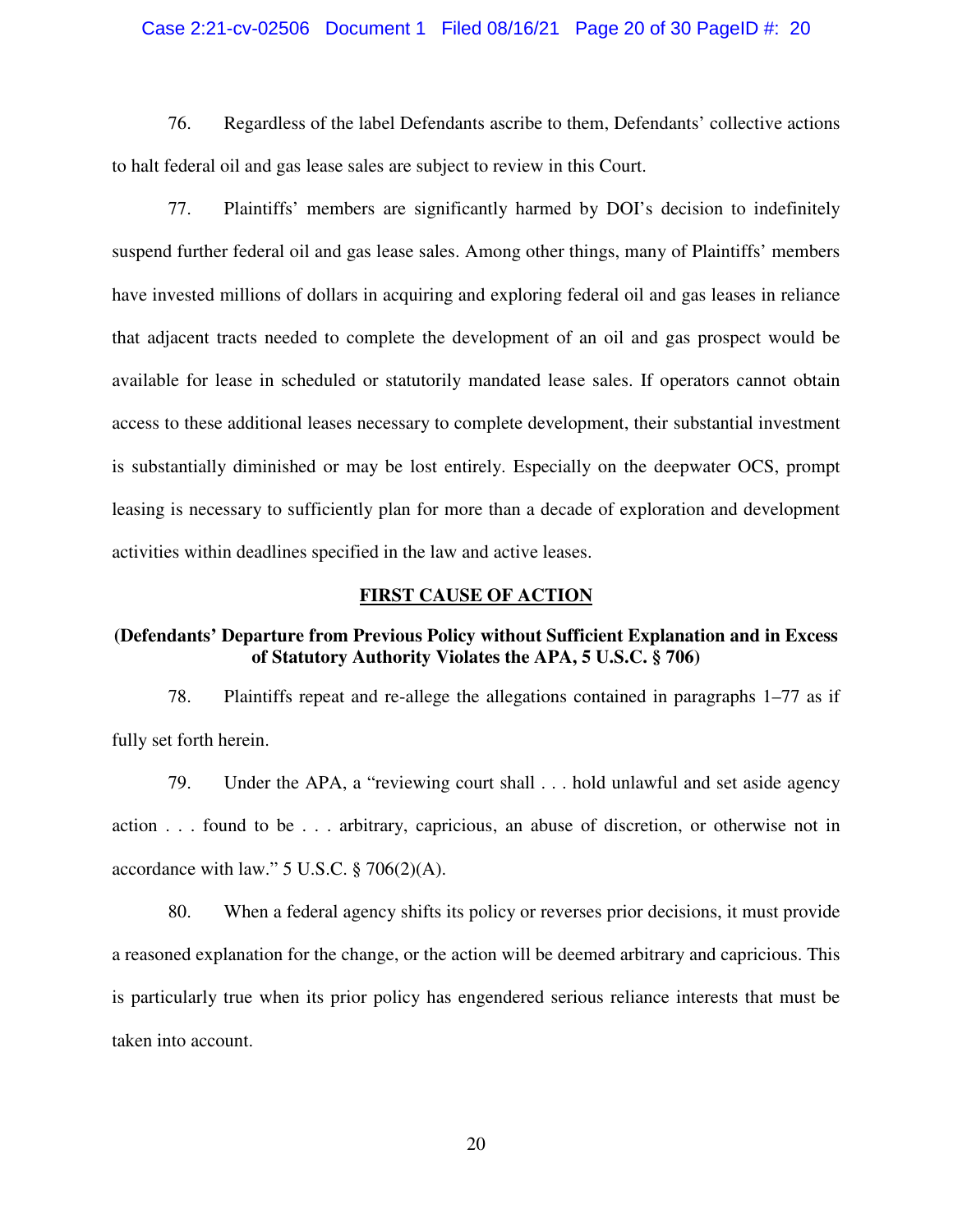### Case 2:21-cv-02506 Document 1 Filed 08/16/21 Page 20 of 30 PageID #: 20

76. Regardless of the label Defendants ascribe to them, Defendants' collective actions to halt federal oil and gas lease sales are subject to review in this Court.

77. Plaintiffs' members are significantly harmed by DOI's decision to indefinitely suspend further federal oil and gas lease sales. Among other things, many of Plaintiffs' members have invested millions of dollars in acquiring and exploring federal oil and gas leases in reliance that adjacent tracts needed to complete the development of an oil and gas prospect would be available for lease in scheduled or statutorily mandated lease sales. If operators cannot obtain access to these additional leases necessary to complete development, their substantial investment is substantially diminished or may be lost entirely. Especially on the deepwater OCS, prompt leasing is necessary to sufficiently plan for more than a decade of exploration and development activities within deadlines specified in the law and active leases.

### **FIRST CAUSE OF ACTION**

### **(Defendants' Departure from Previous Policy without Sufficient Explanation and in Excess of Statutory Authority Violates the APA, 5 U.S.C. § 706)**

78. Plaintiffs repeat and re-allege the allegations contained in paragraphs 1–77 as if fully set forth herein.

79. Under the APA, a "reviewing court shall . . . hold unlawful and set aside agency action . . . found to be . . . arbitrary, capricious, an abuse of discretion, or otherwise not in accordance with law."  $5$  U.S.C.  $\S$  706(2)(A).

80. When a federal agency shifts its policy or reverses prior decisions, it must provide a reasoned explanation for the change, or the action will be deemed arbitrary and capricious. This is particularly true when its prior policy has engendered serious reliance interests that must be taken into account.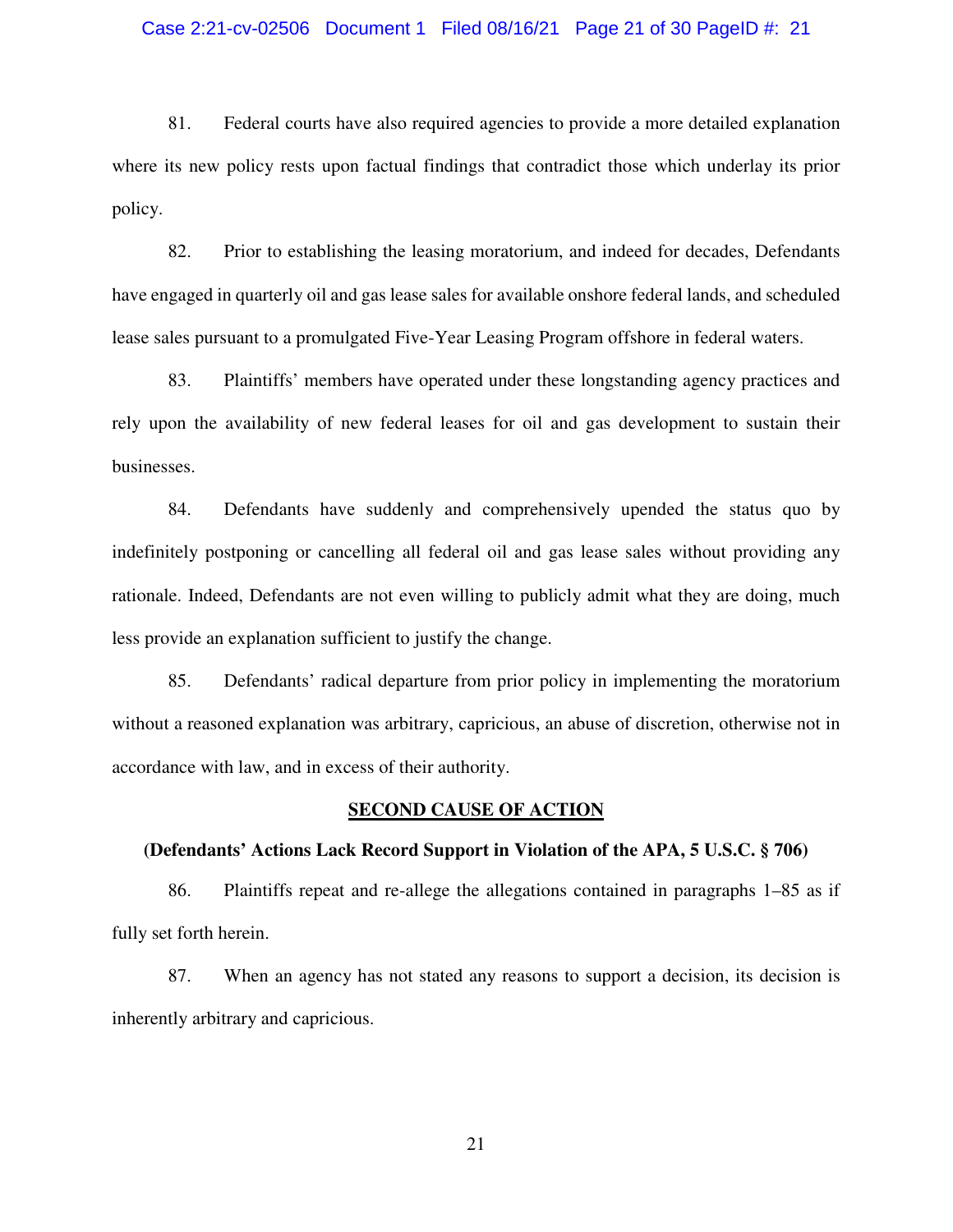### Case 2:21-cv-02506 Document 1 Filed 08/16/21 Page 21 of 30 PageID #: 21

81. Federal courts have also required agencies to provide a more detailed explanation where its new policy rests upon factual findings that contradict those which underlay its prior policy.

82. Prior to establishing the leasing moratorium, and indeed for decades, Defendants have engaged in quarterly oil and gas lease sales for available onshore federal lands, and scheduled lease sales pursuant to a promulgated Five-Year Leasing Program offshore in federal waters.

83. Plaintiffs' members have operated under these longstanding agency practices and rely upon the availability of new federal leases for oil and gas development to sustain their businesses.

84. Defendants have suddenly and comprehensively upended the status quo by indefinitely postponing or cancelling all federal oil and gas lease sales without providing any rationale. Indeed, Defendants are not even willing to publicly admit what they are doing, much less provide an explanation sufficient to justify the change.

85. Defendants' radical departure from prior policy in implementing the moratorium without a reasoned explanation was arbitrary, capricious, an abuse of discretion, otherwise not in accordance with law, and in excess of their authority.

### **SECOND CAUSE OF ACTION**

### **(Defendants' Actions Lack Record Support in Violation of the APA, 5 U.S.C. § 706)**

86. Plaintiffs repeat and re-allege the allegations contained in paragraphs 1–85 as if fully set forth herein.

87. When an agency has not stated any reasons to support a decision, its decision is inherently arbitrary and capricious.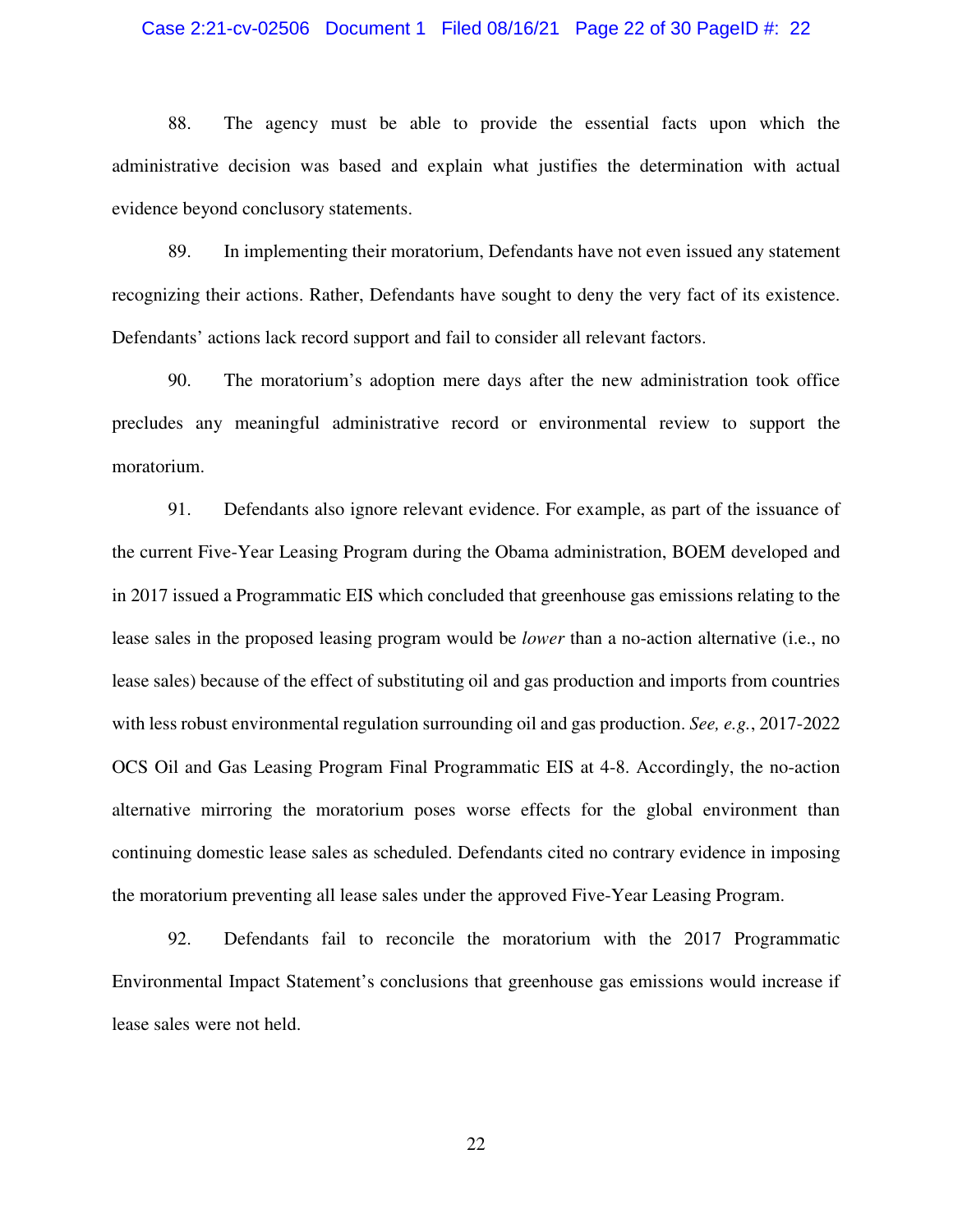### Case 2:21-cv-02506 Document 1 Filed 08/16/21 Page 22 of 30 PageID #: 22

88. The agency must be able to provide the essential facts upon which the administrative decision was based and explain what justifies the determination with actual evidence beyond conclusory statements.

89. In implementing their moratorium, Defendants have not even issued any statement recognizing their actions. Rather, Defendants have sought to deny the very fact of its existence. Defendants' actions lack record support and fail to consider all relevant factors.

90. The moratorium's adoption mere days after the new administration took office precludes any meaningful administrative record or environmental review to support the moratorium.

91. Defendants also ignore relevant evidence. For example, as part of the issuance of the current Five-Year Leasing Program during the Obama administration, BOEM developed and in 2017 issued a Programmatic EIS which concluded that greenhouse gas emissions relating to the lease sales in the proposed leasing program would be *lower* than a no-action alternative (i.e., no lease sales) because of the effect of substituting oil and gas production and imports from countries with less robust environmental regulation surrounding oil and gas production. *See, e.g.*, 2017-2022 OCS Oil and Gas Leasing Program Final Programmatic EIS at 4-8. Accordingly, the no-action alternative mirroring the moratorium poses worse effects for the global environment than continuing domestic lease sales as scheduled. Defendants cited no contrary evidence in imposing the moratorium preventing all lease sales under the approved Five-Year Leasing Program.

92. Defendants fail to reconcile the moratorium with the 2017 Programmatic Environmental Impact Statement's conclusions that greenhouse gas emissions would increase if lease sales were not held.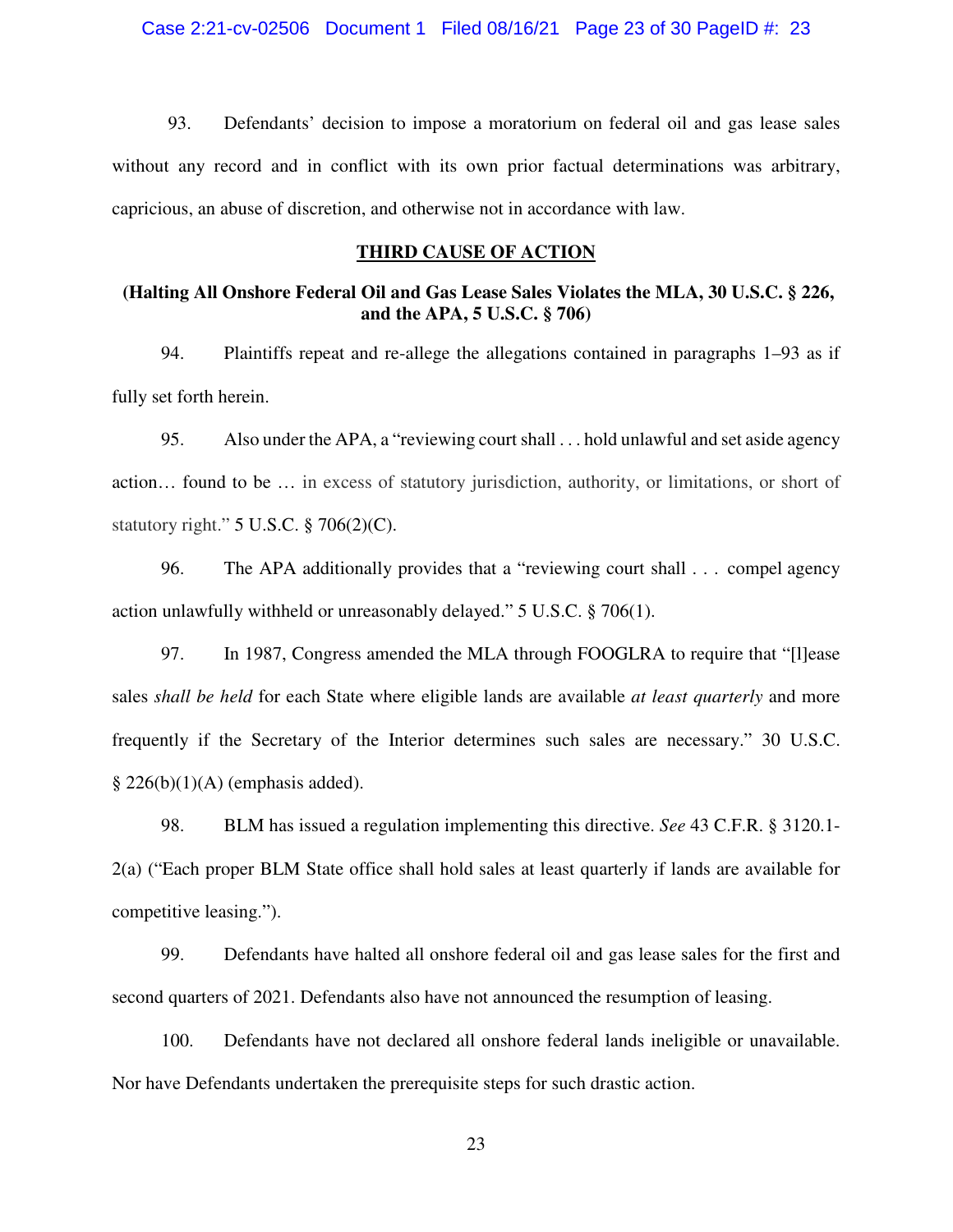93. Defendants' decision to impose a moratorium on federal oil and gas lease sales without any record and in conflict with its own prior factual determinations was arbitrary, capricious, an abuse of discretion, and otherwise not in accordance with law.

### **THIRD CAUSE OF ACTION**

### **(Halting All Onshore Federal Oil and Gas Lease Sales Violates the MLA, 30 U.S.C. § 226, and the APA, 5 U.S.C. § 706)**

94. Plaintiffs repeat and re-allege the allegations contained in paragraphs 1–93 as if fully set forth herein.

95. Also under the APA, a "reviewing court shall . . . hold unlawful and set aside agency action… found to be … in excess of statutory jurisdiction, authority, or limitations, or short of statutory right." 5 U.S.C. § 706(2)(C).

96. The APA additionally provides that a "reviewing court shall . . . compel agency action unlawfully withheld or unreasonably delayed." 5 U.S.C. § 706(1).

97. In 1987, Congress amended the MLA through FOOGLRA to require that "[l]ease sales *shall be held* for each State where eligible lands are available *at least quarterly* and more frequently if the Secretary of the Interior determines such sales are necessary." 30 U.S.C.  $§$  226(b)(1)(A) (emphasis added).

98. BLM has issued a regulation implementing this directive. *See* 43 C.F.R. § 3120.1- 2(a) ("Each proper BLM State office shall hold sales at least quarterly if lands are available for competitive leasing.").

99. Defendants have halted all onshore federal oil and gas lease sales for the first and second quarters of 2021. Defendants also have not announced the resumption of leasing.

100. Defendants have not declared all onshore federal lands ineligible or unavailable. Nor have Defendants undertaken the prerequisite steps for such drastic action.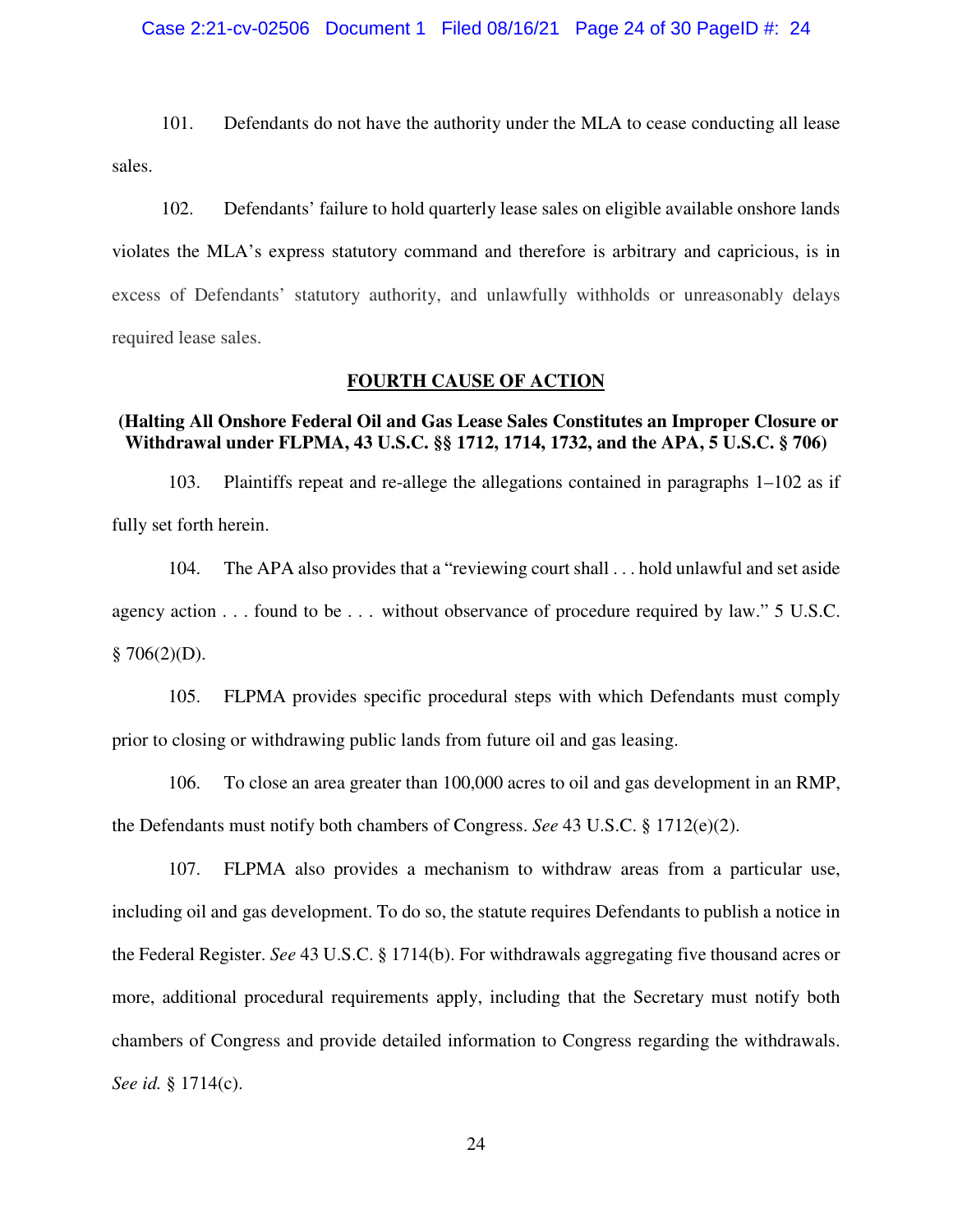### Case 2:21-cv-02506 Document 1 Filed 08/16/21 Page 24 of 30 PageID #: 24

101. Defendants do not have the authority under the MLA to cease conducting all lease sales.

102. Defendants' failure to hold quarterly lease sales on eligible available onshore lands violates the MLA's express statutory command and therefore is arbitrary and capricious, is in excess of Defendants' statutory authority, and unlawfully withholds or unreasonably delays required lease sales.

### **FOURTH CAUSE OF ACTION**

### **(Halting All Onshore Federal Oil and Gas Lease Sales Constitutes an Improper Closure or Withdrawal under FLPMA, 43 U.S.C. §§ 1712, 1714, 1732, and the APA, 5 U.S.C. § 706)**

103. Plaintiffs repeat and re-allege the allegations contained in paragraphs 1–102 as if fully set forth herein.

104. The APA also provides that a "reviewing court shall . . . hold unlawful and set aside agency action . . . found to be . . . without observance of procedure required by law." 5 U.S.C.  $$706(2)(D).$ 

105. FLPMA provides specific procedural steps with which Defendants must comply prior to closing or withdrawing public lands from future oil and gas leasing.

106. To close an area greater than 100,000 acres to oil and gas development in an RMP, the Defendants must notify both chambers of Congress. *See* 43 U.S.C. § 1712(e)(2).

107. FLPMA also provides a mechanism to withdraw areas from a particular use, including oil and gas development. To do so, the statute requires Defendants to publish a notice in the Federal Register. *See* 43 U.S.C. § 1714(b). For withdrawals aggregating five thousand acres or more, additional procedural requirements apply, including that the Secretary must notify both chambers of Congress and provide detailed information to Congress regarding the withdrawals. *See id.* § 1714(c).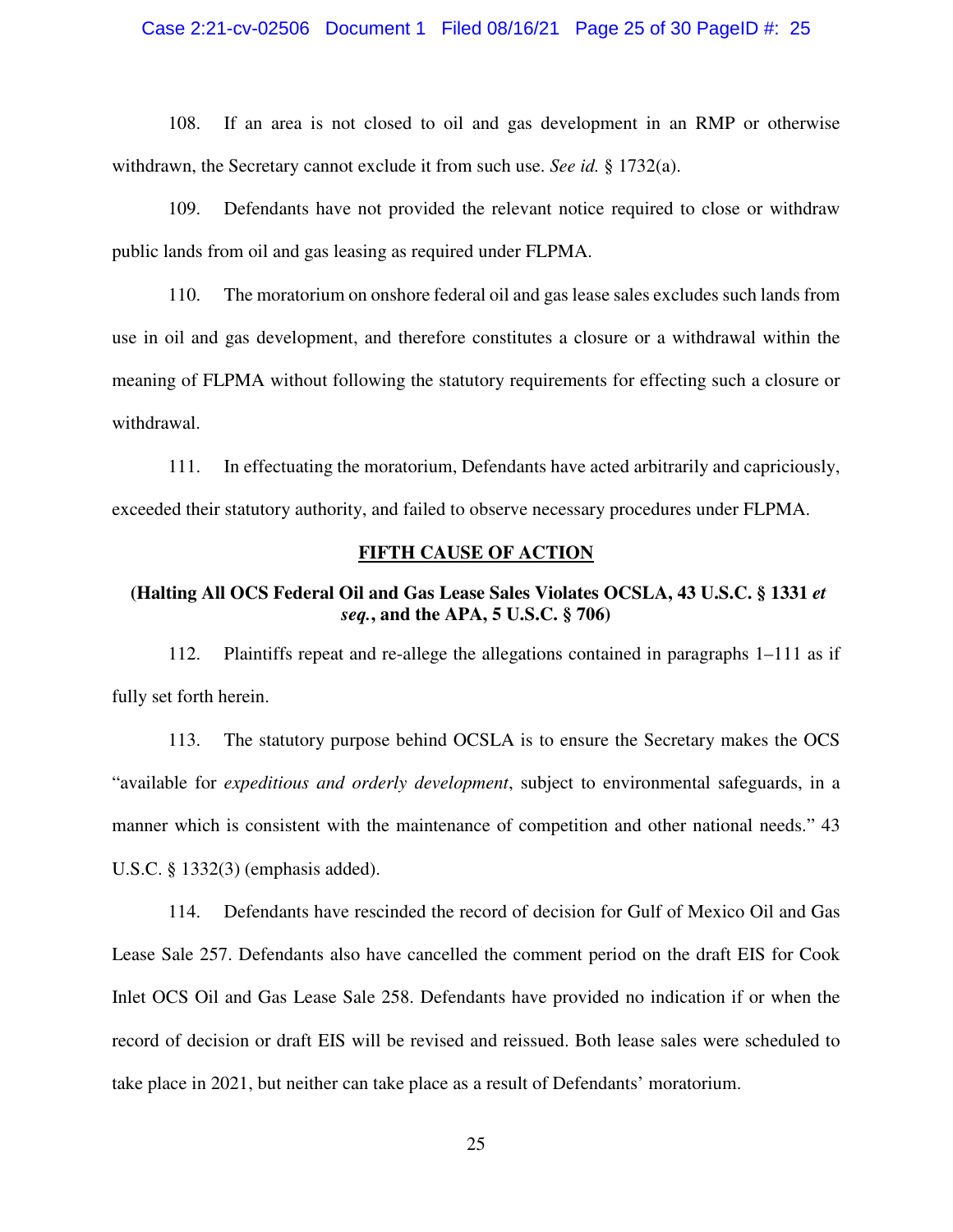### Case 2:21-cv-02506 Document 1 Filed 08/16/21 Page 25 of 30 PageID #: 25

108. If an area is not closed to oil and gas development in an RMP or otherwise withdrawn, the Secretary cannot exclude it from such use. *See id.* § 1732(a).

109. Defendants have not provided the relevant notice required to close or withdraw public lands from oil and gas leasing as required under FLPMA.

110. The moratorium on onshore federal oil and gas lease sales excludes such lands from use in oil and gas development, and therefore constitutes a closure or a withdrawal within the meaning of FLPMA without following the statutory requirements for effecting such a closure or withdrawal.

111. In effectuating the moratorium, Defendants have acted arbitrarily and capriciously, exceeded their statutory authority, and failed to observe necessary procedures under FLPMA.

#### **FIFTH CAUSE OF ACTION**

### **(Halting All OCS Federal Oil and Gas Lease Sales Violates OCSLA, 43 U.S.C. § 1331** *et seq.***, and the APA, 5 U.S.C. § 706)**

112. Plaintiffs repeat and re-allege the allegations contained in paragraphs 1–111 as if fully set forth herein.

113. The statutory purpose behind OCSLA is to ensure the Secretary makes the OCS "available for *expeditious and orderly development*, subject to environmental safeguards, in a manner which is consistent with the maintenance of competition and other national needs." 43 U.S.C. § 1332(3) (emphasis added).

114. Defendants have rescinded the record of decision for Gulf of Mexico Oil and Gas Lease Sale 257. Defendants also have cancelled the comment period on the draft EIS for Cook Inlet OCS Oil and Gas Lease Sale 258. Defendants have provided no indication if or when the record of decision or draft EIS will be revised and reissued. Both lease sales were scheduled to take place in 2021, but neither can take place as a result of Defendants' moratorium.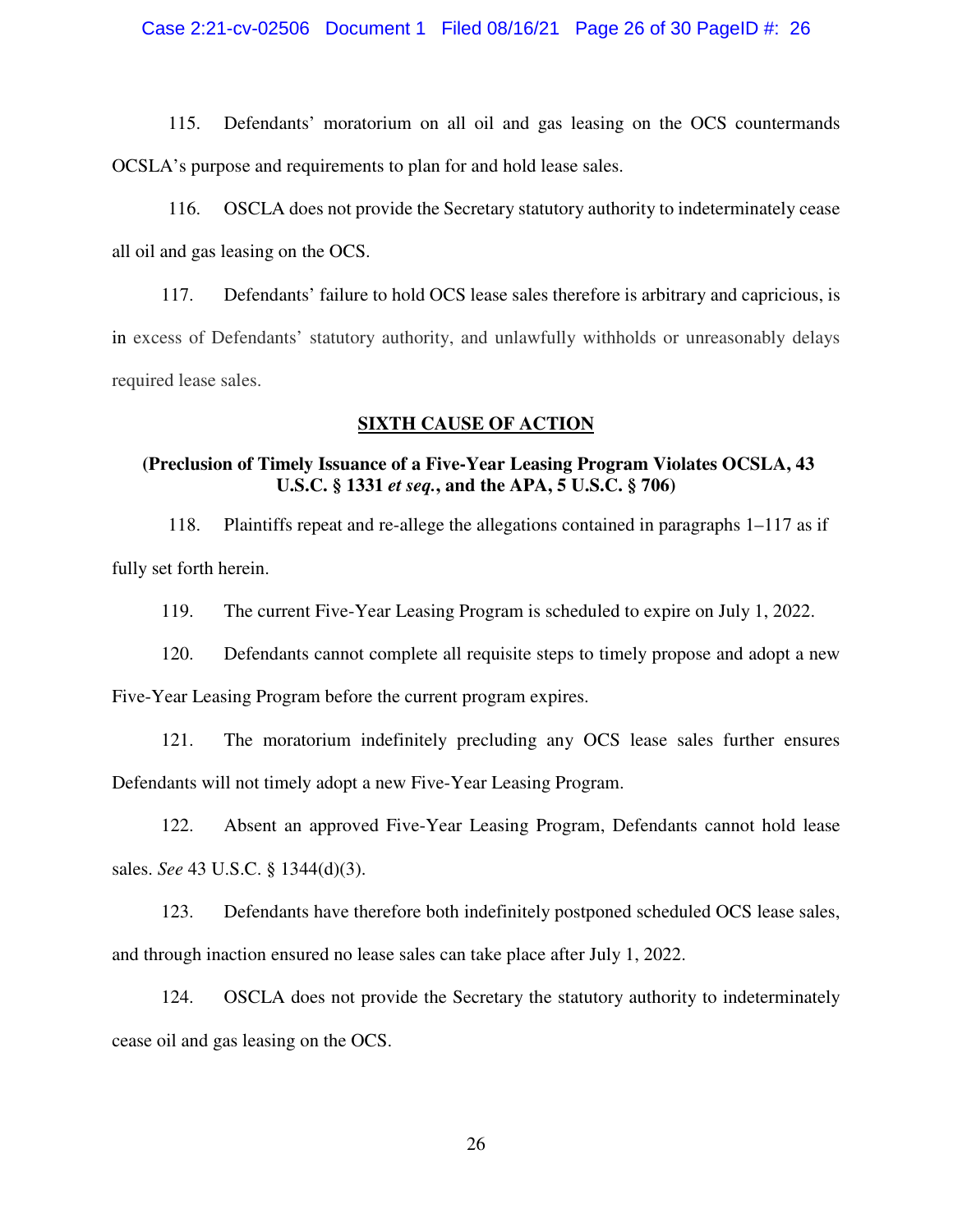### Case 2:21-cv-02506 Document 1 Filed 08/16/21 Page 26 of 30 PageID #: 26

115. Defendants' moratorium on all oil and gas leasing on the OCS countermands OCSLA's purpose and requirements to plan for and hold lease sales.

116. OSCLA does not provide the Secretary statutory authority to indeterminately cease all oil and gas leasing on the OCS.

117. Defendants' failure to hold OCS lease sales therefore is arbitrary and capricious, is in excess of Defendants' statutory authority, and unlawfully withholds or unreasonably delays required lease sales.

### **SIXTH CAUSE OF ACTION**

### **(Preclusion of Timely Issuance of a Five-Year Leasing Program Violates OCSLA, 43 U.S.C. § 1331** *et seq.***, and the APA, 5 U.S.C. § 706)**

118. Plaintiffs repeat and re-allege the allegations contained in paragraphs 1–117 as if fully set forth herein.

119. The current Five-Year Leasing Program is scheduled to expire on July 1, 2022.

120. Defendants cannot complete all requisite steps to timely propose and adopt a new Five-Year Leasing Program before the current program expires.

121. The moratorium indefinitely precluding any OCS lease sales further ensures Defendants will not timely adopt a new Five-Year Leasing Program.

122. Absent an approved Five-Year Leasing Program, Defendants cannot hold lease sales. *See* 43 U.S.C. § 1344(d)(3).

123. Defendants have therefore both indefinitely postponed scheduled OCS lease sales, and through inaction ensured no lease sales can take place after July 1, 2022.

124. OSCLA does not provide the Secretary the statutory authority to indeterminately cease oil and gas leasing on the OCS.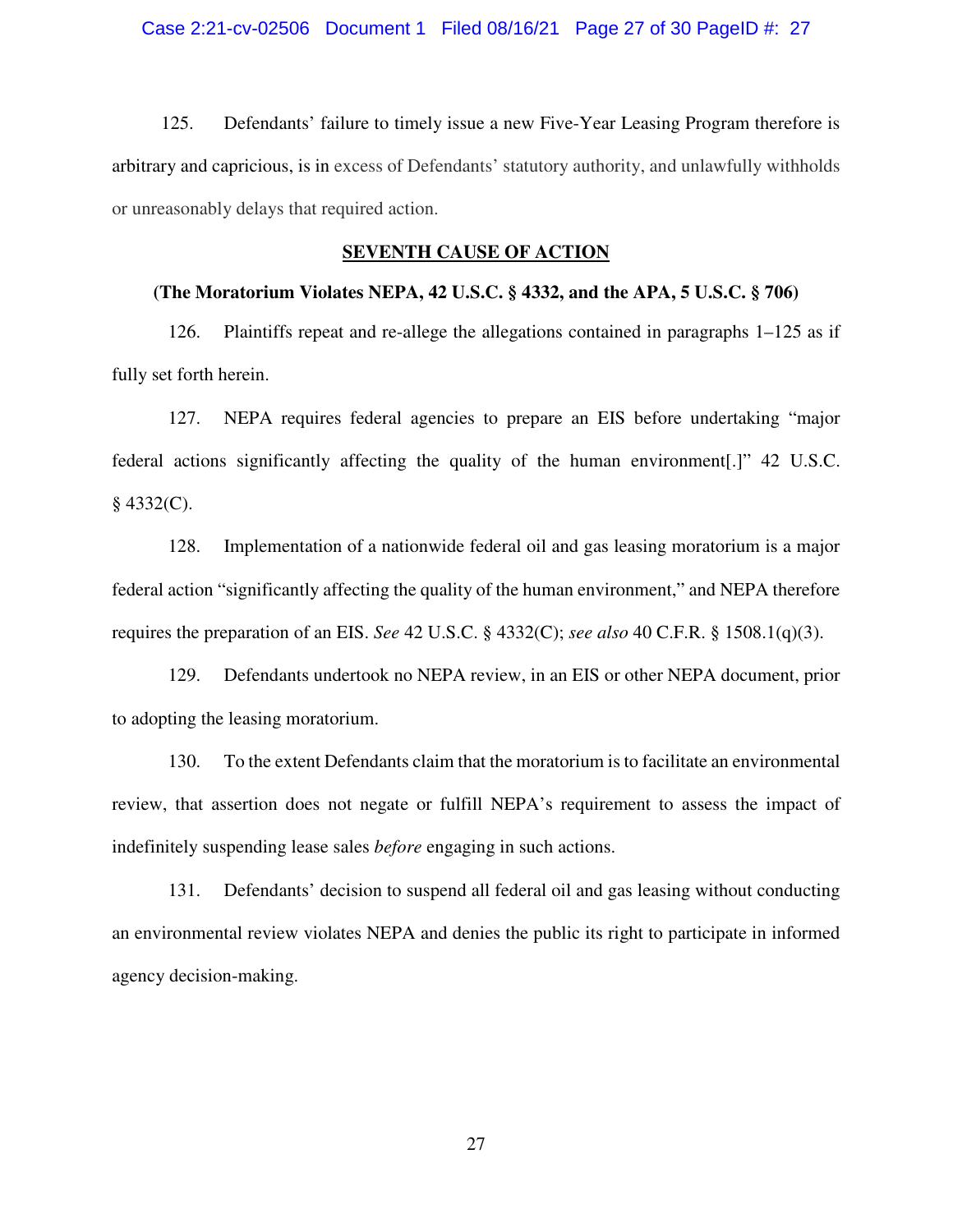125. Defendants' failure to timely issue a new Five-Year Leasing Program therefore is arbitrary and capricious, is in excess of Defendants' statutory authority, and unlawfully withholds or unreasonably delays that required action.

### **SEVENTH CAUSE OF ACTION**

### **(The Moratorium Violates NEPA, 42 U.S.C. § 4332, and the APA, 5 U.S.C. § 706)**

126. Plaintiffs repeat and re-allege the allegations contained in paragraphs 1–125 as if fully set forth herein.

127. NEPA requires federal agencies to prepare an EIS before undertaking "major federal actions significantly affecting the quality of the human environment[.]" 42 U.S.C.  $§$  4332(C).

128. Implementation of a nationwide federal oil and gas leasing moratorium is a major federal action "significantly affecting the quality of the human environment," and NEPA therefore requires the preparation of an EIS. *See* 42 U.S.C. § 4332(C); *see also* 40 C.F.R. § 1508.1(q)(3).

129. Defendants undertook no NEPA review, in an EIS or other NEPA document, prior to adopting the leasing moratorium.

130. To the extent Defendants claim that the moratorium is to facilitate an environmental review, that assertion does not negate or fulfill NEPA's requirement to assess the impact of indefinitely suspending lease sales *before* engaging in such actions.

131. Defendants' decision to suspend all federal oil and gas leasing without conducting an environmental review violates NEPA and denies the public its right to participate in informed agency decision-making.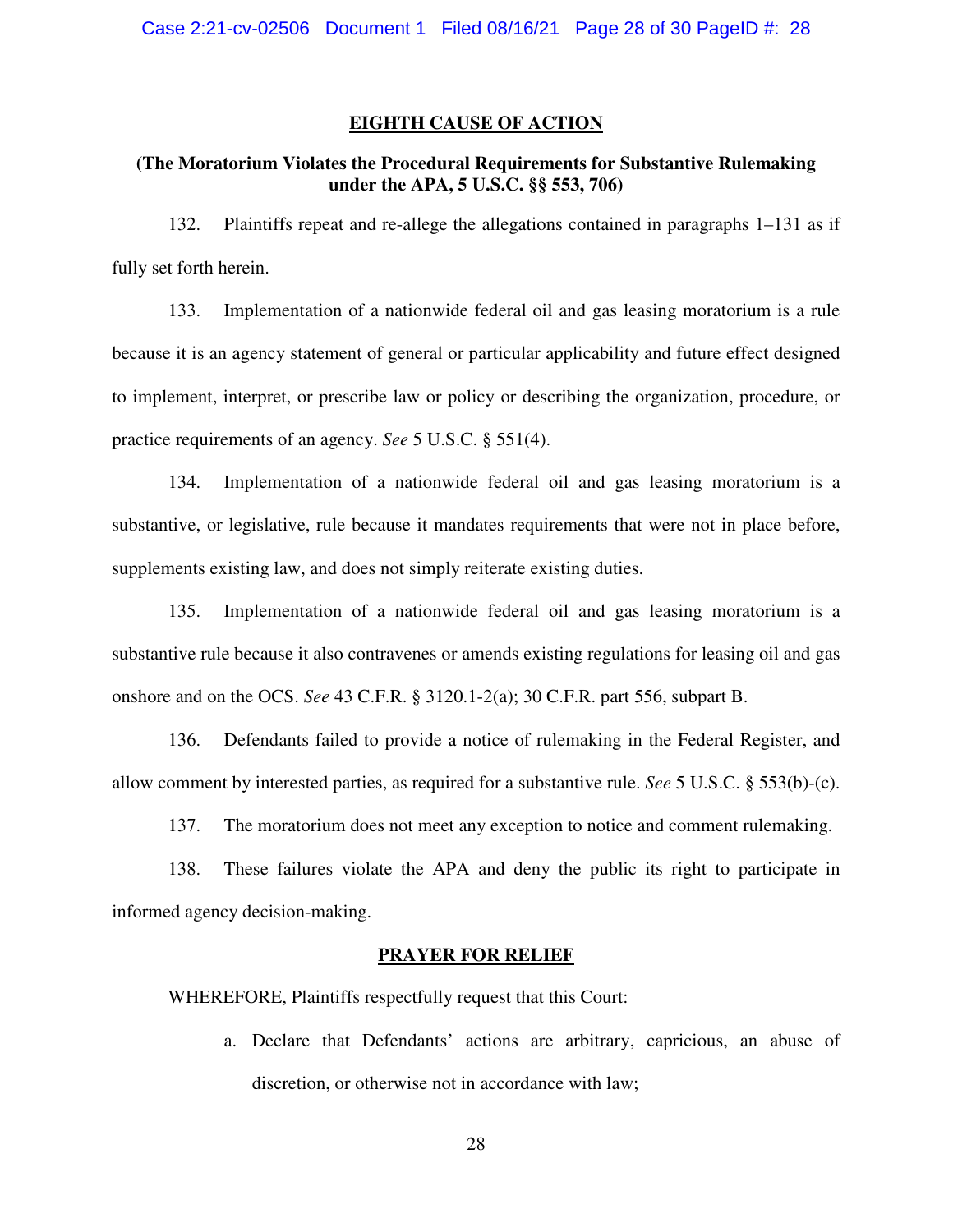### **EIGHTH CAUSE OF ACTION**

### **(The Moratorium Violates the Procedural Requirements for Substantive Rulemaking under the APA, 5 U.S.C. §§ 553, 706)**

132. Plaintiffs repeat and re-allege the allegations contained in paragraphs 1–131 as if fully set forth herein.

133. Implementation of a nationwide federal oil and gas leasing moratorium is a rule because it is an agency statement of general or particular applicability and future effect designed to implement, interpret, or prescribe law or policy or describing the organization, procedure, or practice requirements of an agency. *See* 5 U.S.C. § 551(4).

134. Implementation of a nationwide federal oil and gas leasing moratorium is a substantive, or legislative, rule because it mandates requirements that were not in place before, supplements existing law, and does not simply reiterate existing duties.

135. Implementation of a nationwide federal oil and gas leasing moratorium is a substantive rule because it also contravenes or amends existing regulations for leasing oil and gas onshore and on the OCS. *See* 43 C.F.R. § 3120.1-2(a); 30 C.F.R. part 556, subpart B.

136. Defendants failed to provide a notice of rulemaking in the Federal Register, and allow comment by interested parties, as required for a substantive rule. *See* 5 U.S.C. § 553(b)-(c).

137. The moratorium does not meet any exception to notice and comment rulemaking.

138. These failures violate the APA and deny the public its right to participate in informed agency decision-making.

### **PRAYER FOR RELIEF**

WHEREFORE, Plaintiffs respectfully request that this Court:

a. Declare that Defendants' actions are arbitrary, capricious, an abuse of discretion, or otherwise not in accordance with law;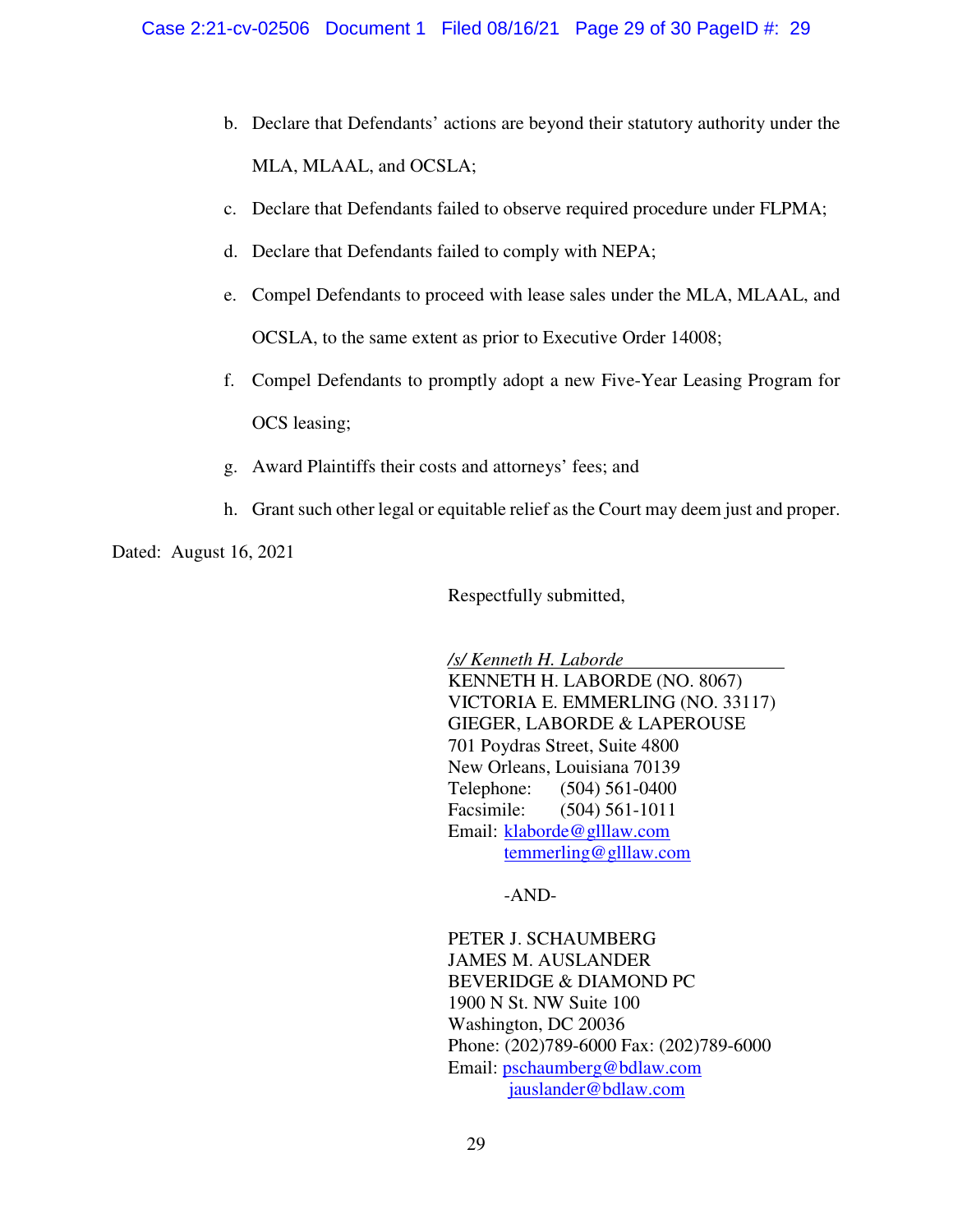- b. Declare that Defendants' actions are beyond their statutory authority under the MLA, MLAAL, and OCSLA;
- c. Declare that Defendants failed to observe required procedure under FLPMA;
- d. Declare that Defendants failed to comply with NEPA;
- e. Compel Defendants to proceed with lease sales under the MLA, MLAAL, and OCSLA, to the same extent as prior to Executive Order 14008;
- f. Compel Defendants to promptly adopt a new Five-Year Leasing Program for OCS leasing;
- g. Award Plaintiffs their costs and attorneys' fees; and
- h. Grant such other legal or equitable relief as the Court may deem just and proper.

Dated: August 16, 2021

Respectfully submitted,

 */s/ Kenneth H. Laborde*  KENNETH H. LABORDE (NO. 8067) VICTORIA E. EMMERLING (NO. 33117) GIEGER, LABORDE & LAPEROUSE 701 Poydras Street, Suite 4800 New Orleans, Louisiana 70139 Telephone: (504) 561-0400 Facsimile: (504) 561-1011 Email: klaborde@glllaw.com temmerling@glllaw.com

-AND-

PETER J. SCHAUMBERG JAMES M. AUSLANDER BEVERIDGE & DIAMOND PC 1900 N St. NW Suite 100 Washington, DC 20036 Phone: (202)789-6000 Fax: (202)789-6000 Email: pschaumberg@bdlaw.com jauslander@bdlaw.com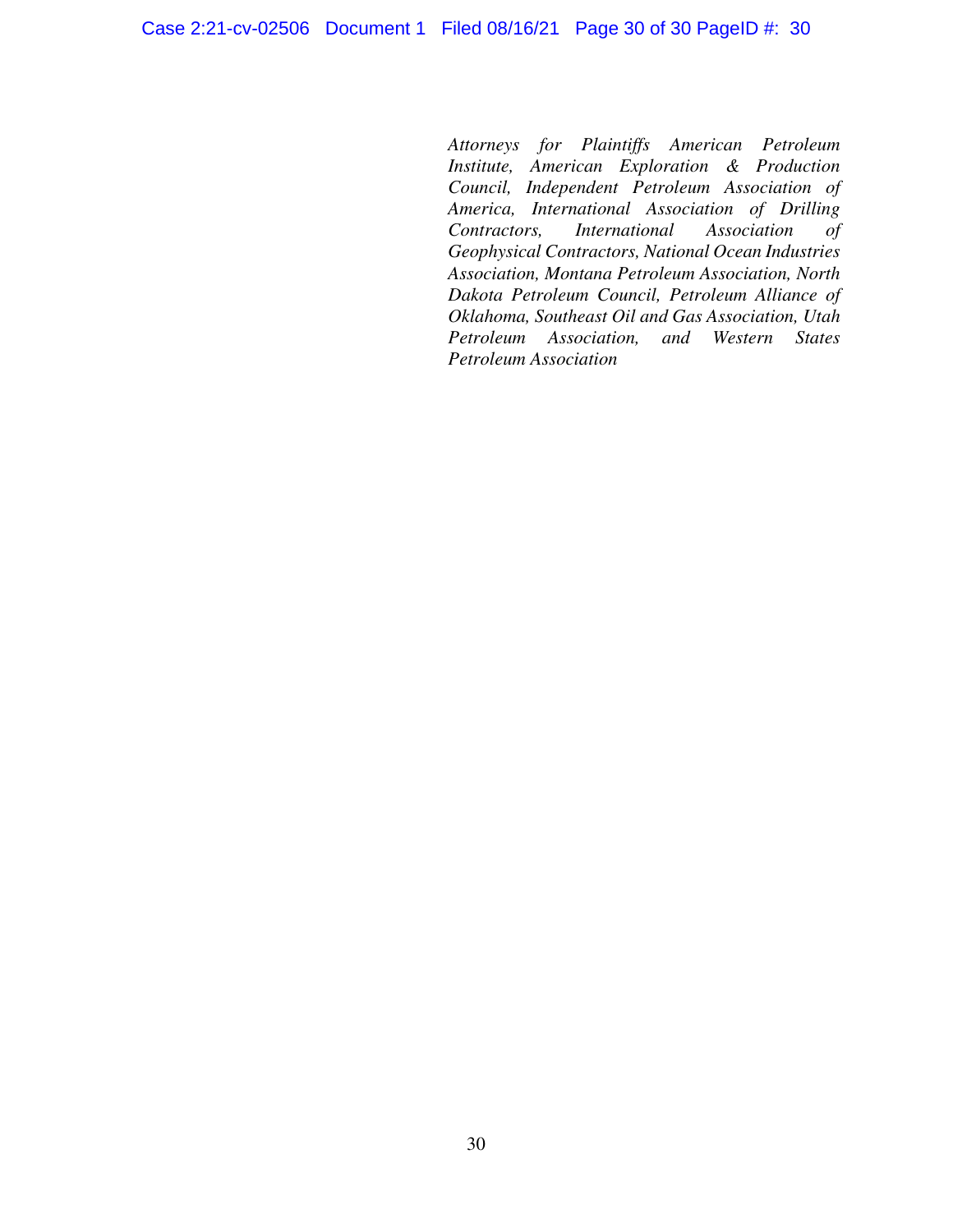*Attorneys for Plaintiffs American Petroleum Institute, American Exploration & Production Council, Independent Petroleum Association of America, International Association of Drilling Contractors, International Association of Geophysical Contractors, National Ocean Industries Association, Montana Petroleum Association, North Dakota Petroleum Council, Petroleum Alliance of Oklahoma, Southeast Oil and Gas Association, Utah Petroleum Association, and Western States Petroleum Association*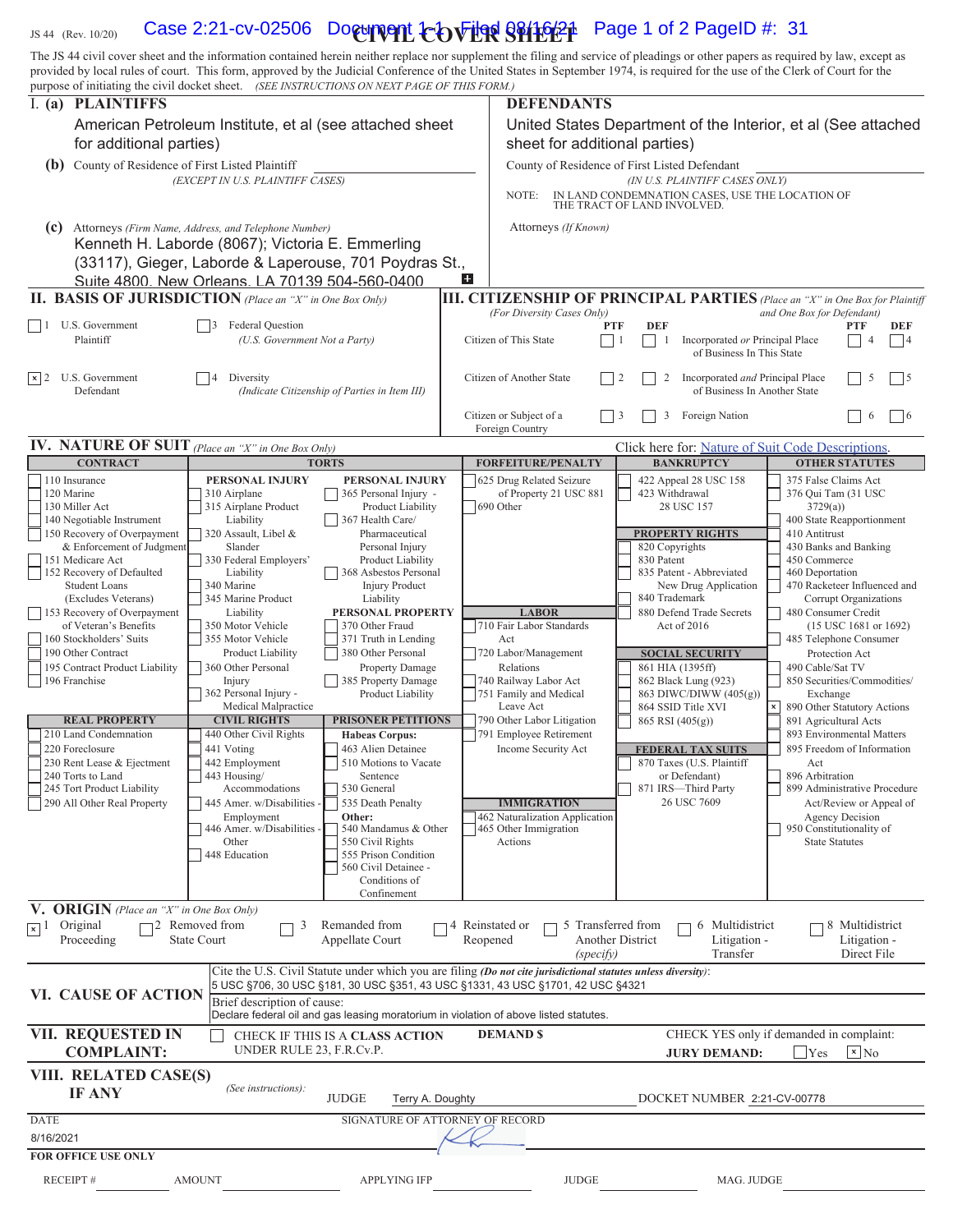# JS 44 (Rev. 10/20) **Case 2:21-cv-02506 Document <del>C</del>ovue Relieft Super Page 1 of 2 PageID #: 31**

| The JS 44 civil cover sheet and the information contained herein neither replace nor supplement the filing and service of pleadings or other papers as required by law, except as<br>provided by local rules of court. This form, approved by the Judicial Conference of the United States in September 1974, is required for the use of the Clerk of Court for the<br>purpose of initiating the civil docket sheet. (SEE INSTRUCTIONS ON NEXT PAGE OF THIS FORM.) |                                                                                                                                                                                                                      |                                                                                                                                    |                                                                                                                                                                                                  |                                                                                                                           |                                                                             |  |  |
|--------------------------------------------------------------------------------------------------------------------------------------------------------------------------------------------------------------------------------------------------------------------------------------------------------------------------------------------------------------------------------------------------------------------------------------------------------------------|----------------------------------------------------------------------------------------------------------------------------------------------------------------------------------------------------------------------|------------------------------------------------------------------------------------------------------------------------------------|--------------------------------------------------------------------------------------------------------------------------------------------------------------------------------------------------|---------------------------------------------------------------------------------------------------------------------------|-----------------------------------------------------------------------------|--|--|
| I. (a) PLAINTIFFS                                                                                                                                                                                                                                                                                                                                                                                                                                                  |                                                                                                                                                                                                                      |                                                                                                                                    | <b>DEFENDANTS</b>                                                                                                                                                                                |                                                                                                                           |                                                                             |  |  |
| American Petroleum Institute, et al (see attached sheet<br>for additional parties)                                                                                                                                                                                                                                                                                                                                                                                 |                                                                                                                                                                                                                      |                                                                                                                                    | United States Department of the Interior, et al (See attached<br>sheet for additional parties)                                                                                                   |                                                                                                                           |                                                                             |  |  |
| County of Residence of First Listed Plaintiff<br>(b)                                                                                                                                                                                                                                                                                                                                                                                                               |                                                                                                                                                                                                                      |                                                                                                                                    | County of Residence of First Listed Defendant                                                                                                                                                    |                                                                                                                           |                                                                             |  |  |
| (EXCEPT IN U.S. PLAINTIFF CASES)                                                                                                                                                                                                                                                                                                                                                                                                                                   |                                                                                                                                                                                                                      |                                                                                                                                    | (IN U.S. PLAINTIFF CASES ONLY)<br>IN LAND CONDEMNATION CASES, USE THE LOCATION OF<br>NOTE:<br>THE TRACT OF LAND INVOLVED.                                                                        |                                                                                                                           |                                                                             |  |  |
| (c)                                                                                                                                                                                                                                                                                                                                                                                                                                                                | Attorneys (Firm Name, Address, and Telephone Number)<br>Kenneth H. Laborde (8067); Victoria E. Emmerling<br>(33117), Gieger, Laborde & Laperouse, 701 Poydras St.,<br>Suite 4800. New Orleans. LA 70139 504-560-0400 |                                                                                                                                    | Attorneys (If Known)<br>Ы                                                                                                                                                                        |                                                                                                                           |                                                                             |  |  |
|                                                                                                                                                                                                                                                                                                                                                                                                                                                                    | <b>III. CITIZENSHIP OF PRINCIPAL PARTIES</b> (Place an "X" in One Box for Plaintiff<br><b>II. BASIS OF JURISDICTION</b> (Place an "X" in One Box Only)<br>(For Diversity Cases Only)<br>and One Box for Defendant)   |                                                                                                                                    |                                                                                                                                                                                                  |                                                                                                                           |                                                                             |  |  |
| $\vert$ 1 U.S. Government<br>Plaintiff                                                                                                                                                                                                                                                                                                                                                                                                                             | 3 Federal Question<br>(U.S. Government Not a Party)                                                                                                                                                                  |                                                                                                                                    | <b>PTF</b><br>Citizen of This State<br>$-11$                                                                                                                                                     | <b>DEF</b><br><b>PTF</b><br><b>DEF</b><br>Incorporated or Principal Place<br>-1<br>   4<br>4<br>of Business In This State |                                                                             |  |  |
| $\mathbf{x}$ 2<br>U.S. Government<br>Defendant                                                                                                                                                                                                                                                                                                                                                                                                                     | Diversity                                                                                                                                                                                                            | (Indicate Citizenship of Parties in Item III)                                                                                      | Citizen of Another State<br>$\frac{12}{2}$                                                                                                                                                       | Incorporated and Principal Place<br>5<br>$ $ 15<br>of Business In Another State                                           |                                                                             |  |  |
|                                                                                                                                                                                                                                                                                                                                                                                                                                                                    |                                                                                                                                                                                                                      |                                                                                                                                    | Citizen or Subject of a<br>$\vert$ 3<br>Foreign Country                                                                                                                                          | 3<br>Foreign Nation                                                                                                       | 6<br>$ $ 16                                                                 |  |  |
| <b>IV. NATURE OF SUIT</b> (Place an "X" in One Box Only)<br><b>CONTRACT</b>                                                                                                                                                                                                                                                                                                                                                                                        |                                                                                                                                                                                                                      | <b>TORTS</b>                                                                                                                       | <b>FORFEITURE/PENALTY</b>                                                                                                                                                                        | Click here for: Nature of Suit Code Descriptions.<br><b>BANKRUPTCY</b>                                                    | <b>OTHER STATUTES</b>                                                       |  |  |
| 110 Insurance                                                                                                                                                                                                                                                                                                                                                                                                                                                      | PERSONAL INJURY                                                                                                                                                                                                      | PERSONAL INJURY                                                                                                                    | 625 Drug Related Seizure                                                                                                                                                                         | 422 Appeal 28 USC 158                                                                                                     | 375 False Claims Act                                                        |  |  |
| 120 Marine<br>130 Miller Act<br>140 Negotiable Instrument                                                                                                                                                                                                                                                                                                                                                                                                          | 310 Airplane<br>315 Airplane Product<br>Liability                                                                                                                                                                    | 365 Personal Injury -<br>Product Liability<br>367 Health Care/                                                                     | of Property 21 USC 881<br>690 Other                                                                                                                                                              | 423 Withdrawal<br>28 USC 157                                                                                              | 376 Qui Tam (31 USC<br>3729(a)<br>400 State Reapportionment                 |  |  |
| 150 Recovery of Overpayment                                                                                                                                                                                                                                                                                                                                                                                                                                        | 320 Assault, Libel &                                                                                                                                                                                                 | Pharmaceutical                                                                                                                     |                                                                                                                                                                                                  | <b>PROPERTY RIGHTS</b>                                                                                                    | 410 Antitrust                                                               |  |  |
| & Enforcement of Judgment<br>151 Medicare Act                                                                                                                                                                                                                                                                                                                                                                                                                      | Slander<br>330 Federal Employers'                                                                                                                                                                                    | Personal Injury<br>Product Liability                                                                                               |                                                                                                                                                                                                  | 820 Copyrights<br>830 Patent                                                                                              | 430 Banks and Banking<br>450 Commerce                                       |  |  |
| 152 Recovery of Defaulted<br><b>Student Loans</b>                                                                                                                                                                                                                                                                                                                                                                                                                  | Liability<br>340 Marine                                                                                                                                                                                              | 368 Asbestos Personal<br><b>Injury Product</b>                                                                                     |                                                                                                                                                                                                  | 835 Patent - Abbreviated<br>460 Deportation<br>New Drug Application<br>470 Racketeer Influenced and                       |                                                                             |  |  |
| (Excludes Veterans)                                                                                                                                                                                                                                                                                                                                                                                                                                                | 345 Marine Product                                                                                                                                                                                                   | Liability                                                                                                                          |                                                                                                                                                                                                  | 840 Trademark<br>Corrupt Organizations                                                                                    |                                                                             |  |  |
| 153 Recovery of Overpayment<br>of Veteran's Benefits                                                                                                                                                                                                                                                                                                                                                                                                               | Liability<br>350 Motor Vehicle                                                                                                                                                                                       | PERSONAL PROPERTY<br>370 Other Fraud                                                                                               | <b>LABOR</b><br>710 Fair Labor Standards                                                                                                                                                         | 880 Defend Trade Secrets<br>Act of 2016                                                                                   | 480 Consumer Credit<br>$(15$ USC 1681 or 1692)                              |  |  |
| 160 Stockholders' Suits<br>190 Other Contract                                                                                                                                                                                                                                                                                                                                                                                                                      | 355 Motor Vehicle<br>Product Liability                                                                                                                                                                               | 371 Truth in Lending<br>380 Other Personal                                                                                         | Act<br>720 Labor/Management                                                                                                                                                                      | <b>SOCIAL SECURITY</b>                                                                                                    | 485 Telephone Consumer<br>Protection Act                                    |  |  |
| 195 Contract Product Liability                                                                                                                                                                                                                                                                                                                                                                                                                                     | 360 Other Personal                                                                                                                                                                                                   | <b>Property Damage</b>                                                                                                             | Relations                                                                                                                                                                                        | 861 HIA (1395ff)                                                                                                          | 490 Cable/Sat TV                                                            |  |  |
| 196 Franchise                                                                                                                                                                                                                                                                                                                                                                                                                                                      | Injury<br>362 Personal Injury -                                                                                                                                                                                      | 385 Property Damage<br>Product Liability                                                                                           | 740 Railway Labor Act<br>751 Family and Medical                                                                                                                                                  | 862 Black Lung (923)<br>863 DIWC/DIWW (405(g))                                                                            | 850 Securities/Commodities/<br>Exchange                                     |  |  |
| <b>REAL PROPERTY</b>                                                                                                                                                                                                                                                                                                                                                                                                                                               | Medical Malpractice<br><b>CIVIL RIGHTS</b>                                                                                                                                                                           | <b>PRISONER PETITIONS</b>                                                                                                          | Leave Act<br>790 Other Labor Litigation                                                                                                                                                          | 864 SSID Title XVI<br>865 RSI (405(g))                                                                                    | 890 Other Statutory Actions<br>$\pmb{\times}$<br>891 Agricultural Acts      |  |  |
| 210 Land Condemnation                                                                                                                                                                                                                                                                                                                                                                                                                                              | 440 Other Civil Rights                                                                                                                                                                                               | <b>Habeas Corpus:</b>                                                                                                              | 791 Employee Retirement                                                                                                                                                                          |                                                                                                                           | 893 Environmental Matters                                                   |  |  |
| 220 Foreclosure<br>230 Rent Lease & Ejectment                                                                                                                                                                                                                                                                                                                                                                                                                      | 441 Voting<br>442 Employment                                                                                                                                                                                         | 463 Alien Detainee<br>510 Motions to Vacate                                                                                        | Income Security Act                                                                                                                                                                              | <b>FEDERAL TAX SUITS</b><br>870 Taxes (U.S. Plaintiff                                                                     | 895 Freedom of Information<br>Act                                           |  |  |
| 240 Torts to Land                                                                                                                                                                                                                                                                                                                                                                                                                                                  | 443 Housing/                                                                                                                                                                                                         | Sentence                                                                                                                           |                                                                                                                                                                                                  | or Defendant)                                                                                                             | 896 Arbitration                                                             |  |  |
| 245 Tort Product Liability<br>290 All Other Real Property                                                                                                                                                                                                                                                                                                                                                                                                          | Accommodations<br>445 Amer. w/Disabilities -                                                                                                                                                                         | 530 General<br>535 Death Penalty                                                                                                   | <b>IMMIGRATION</b>                                                                                                                                                                               | 871 IRS-Third Party<br>899 Administrative Procedure<br>26 USC 7609<br>Act/Review or Appeal of                             |                                                                             |  |  |
|                                                                                                                                                                                                                                                                                                                                                                                                                                                                    | Employment<br>446 Amer. w/Disabilities -<br>Other<br>448 Education                                                                                                                                                   | Other:<br>540 Mandamus & Other<br>550 Civil Rights<br>555 Prison Condition<br>560 Civil Detainee -<br>Conditions of<br>Confinement | 462 Naturalization Application<br>465 Other Immigration<br>Actions                                                                                                                               |                                                                                                                           | <b>Agency Decision</b><br>950 Constitutionality of<br><b>State Statutes</b> |  |  |
| V. ORIGIN (Place an "X" in One Box Only)                                                                                                                                                                                                                                                                                                                                                                                                                           |                                                                                                                                                                                                                      |                                                                                                                                    |                                                                                                                                                                                                  |                                                                                                                           |                                                                             |  |  |
| Original<br>$\sqrt{x}$ <sup>1</sup><br>Proceeding                                                                                                                                                                                                                                                                                                                                                                                                                  | $\Box$ 2 Removed from<br>3<br><b>State Court</b>                                                                                                                                                                     | Remanded from<br>Appellate Court                                                                                                   | 4 Reinstated or<br>5 Transferred from<br>Reopened<br>(specify)                                                                                                                                   | 6 Multidistrict<br><b>Another District</b><br>Litigation -<br>Transfer                                                    | 8 Multidistrict<br>Litigation -<br>Direct File                              |  |  |
|                                                                                                                                                                                                                                                                                                                                                                                                                                                                    |                                                                                                                                                                                                                      |                                                                                                                                    | Cite the U.S. Civil Statute under which you are filing (Do not cite jurisdictional statutes unless diversity):<br>5 USC §706, 30 USC §181, 30 USC §351, 43 USC §1331, 43 USC §1701, 42 USC §4321 |                                                                                                                           |                                                                             |  |  |
| VI. CAUSE OF ACTION                                                                                                                                                                                                                                                                                                                                                                                                                                                | Brief description of cause:                                                                                                                                                                                          |                                                                                                                                    | Declare federal oil and gas leasing moratorium in violation of above listed statutes.                                                                                                            |                                                                                                                           |                                                                             |  |  |
| VII. REQUESTED IN<br><b>COMPLAINT:</b>                                                                                                                                                                                                                                                                                                                                                                                                                             | UNDER RULE 23, F.R.Cv.P.                                                                                                                                                                                             | CHECK IF THIS IS A CLASS ACTION                                                                                                    | CHECK YES only if demanded in complaint:<br><b>DEMAND \$</b><br>$\Box$ Yes<br>$\sqrt{\mathbf{x}}$ No<br><b>JURY DEMAND:</b>                                                                      |                                                                                                                           |                                                                             |  |  |
| VIII. RELATED CASE(S)<br><b>IF ANY</b>                                                                                                                                                                                                                                                                                                                                                                                                                             | (See instructions):                                                                                                                                                                                                  | <b>JUDGE</b><br>Terry A. Doughty                                                                                                   |                                                                                                                                                                                                  | DOCKET NUMBER 2:21-CV-00778                                                                                               |                                                                             |  |  |
| <b>DATE</b><br>8/16/2021                                                                                                                                                                                                                                                                                                                                                                                                                                           | SIGNATURE OF ATTORNEY OF RECORD                                                                                                                                                                                      |                                                                                                                                    |                                                                                                                                                                                                  |                                                                                                                           |                                                                             |  |  |
| <b>FOR OFFICE USE ONLY</b>                                                                                                                                                                                                                                                                                                                                                                                                                                         |                                                                                                                                                                                                                      |                                                                                                                                    |                                                                                                                                                                                                  |                                                                                                                           |                                                                             |  |  |
| <b>RECEIPT#</b>                                                                                                                                                                                                                                                                                                                                                                                                                                                    | <b>AMOUNT</b>                                                                                                                                                                                                        | <b>APPLYING IFP</b>                                                                                                                | <b>JUDGE</b>                                                                                                                                                                                     | MAG. JUDGE                                                                                                                |                                                                             |  |  |